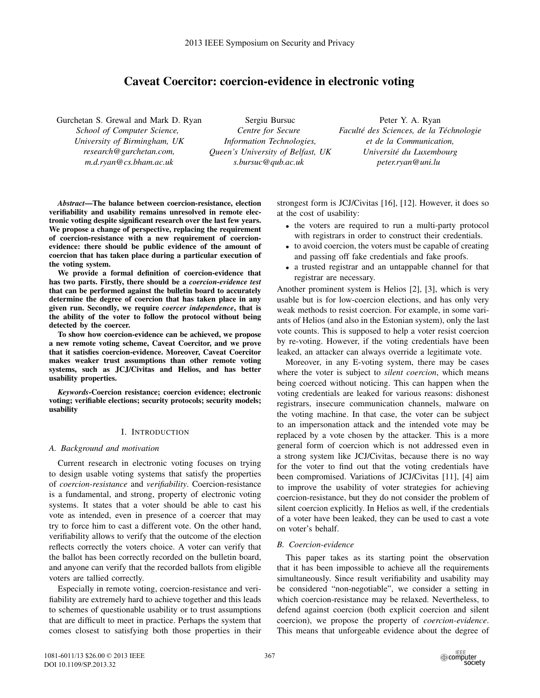# Caveat Coercitor: coercion-evidence in electronic voting

Gurchetan S. Grewal and Mark D. Ryan

*School of Computer Science, University of Birmingham, UK research@gurchetan.com, m.d.ryan@cs.bham.ac.uk*

Sergiu Bursuc *Centre for Secure Information Technologies, Queen's University of Belfast, UK s.bursuc@qub.ac.uk*

Peter Y. A. Ryan  $Faculté$  *des Sciences, de la Téchnologie et de la Communication, Universite du Luxembourg ´ peter.ryan@uni.lu*

*Abstract*—The balance between coercion-resistance, election verifiability and usability remains unresolved in remote electronic voting despite significant research over the last few years. We propose a change of perspective, replacing the requirement of coercion-resistance with a new requirement of coercionevidence: there should be public evidence of the amount of coercion that has taken place during a particular execution of the voting system.

We provide a formal definition of coercion-evidence that has two parts. Firstly, there should be a *coercion-evidence test* that can be performed against the bulletin board to accurately determine the degree of coercion that has taken place in any given run. Secondly, we require *coercer independence*, that is the ability of the voter to follow the protocol without being detected by the coercer.

To show how coercion-evidence can be achieved, we propose a new remote voting scheme, Caveat Coercitor, and we prove that it satisfies coercion-evidence. Moreover, Caveat Coercitor makes weaker trust assumptions than other remote voting systems, such as JCJ/Civitas and Helios, and has better usability properties.

*Keywords*-Coercion resistance; coercion evidence; electronic voting; verifiable elections; security protocols; security models; usability

# I. INTRODUCTION

## *A. Background and motivation*

Current research in electronic voting focuses on trying to design usable voting systems that satisfy the properties of *coercion-resistance* and *verifiability*. Coercion-resistance is a fundamental, and strong, property of electronic voting systems. It states that a voter should be able to cast his vote as intended, even in presence of a coercer that may try to force him to cast a different vote. On the other hand, verifiability allows to verify that the outcome of the election reflects correctly the voters choice. A voter can verify that the ballot has been correctly recorded on the bulletin board, and anyone can verify that the recorded ballots from eligible voters are tallied correctly.

Especially in remote voting, coercion-resistance and verifiability are extremely hard to achieve together and this leads to schemes of questionable usability or to trust assumptions that are difficult to meet in practice. Perhaps the system that comes closest to satisfying both those properties in their strongest form is JCJ/Civitas [16], [12]. However, it does so at the cost of usability:

- the voters are required to run a multi-party protocol with registrars in order to construct their credentials.
- to avoid coercion, the voters must be capable of creating and passing off fake credentials and fake proofs.
- a trusted registrar and an untappable channel for that registrar are necessary.

Another prominent system is Helios [2], [3], which is very usable but is for low-coercion elections, and has only very weak methods to resist coercion. For example, in some variants of Helios (and also in the Estonian system), only the last vote counts. This is supposed to help a voter resist coercion by re-voting. However, if the voting credentials have been leaked, an attacker can always override a legitimate vote.

Moreover, in any E-voting system, there may be cases where the voter is subject to *silent coercion*, which means being coerced without noticing. This can happen when the voting credentials are leaked for various reasons: dishonest registrars, insecure communication channels, malware on the voting machine. In that case, the voter can be subject to an impersonation attack and the intended vote may be replaced by a vote chosen by the attacker. This is a more general form of coercion which is not addressed even in a strong system like JCJ/Civitas, because there is no way for the voter to find out that the voting credentials have been compromised. Variations of JCJ/Civitas [11], [4] aim to improve the usability of voter strategies for achieving coercion-resistance, but they do not consider the problem of silent coercion explicitly. In Helios as well, if the credentials of a voter have been leaked, they can be used to cast a vote on voter's behalf.

# *B. Coercion-evidence*

This paper takes as its starting point the observation that it has been impossible to achieve all the requirements simultaneously. Since result verifiability and usability may be considered "non-negotiable", we consider a setting in which coercion-resistance may be relaxed. Nevertheless, to defend against coercion (both explicit coercion and silent coercion), we propose the property of *coercion-evidence*. This means that unforgeable evidence about the degree of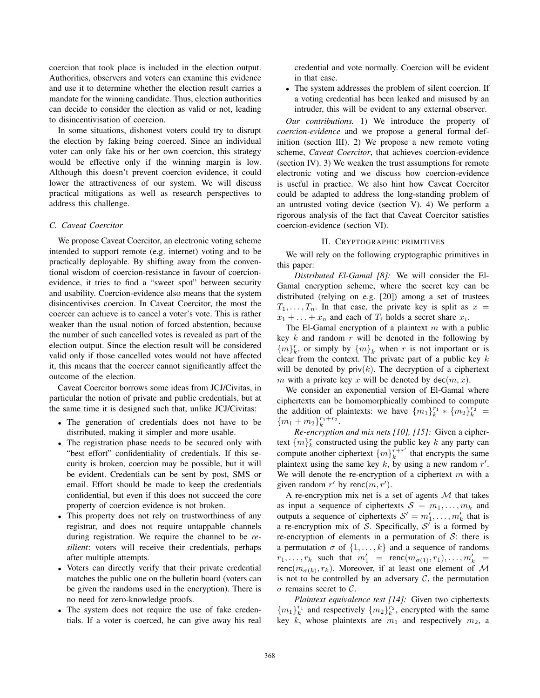coercion that took place is included in the election output. Authorities, observers and voters can examine this evidence and use it to determine whether the election result carries a mandate for the winning candidate. Thus, election authorities can decide to consider the election as valid or not, leading to disincentivisation of coercion.

In some situations, dishonest voters could try to disrupt the election by faking being coerced. Since an individual voter can only fake his or her own coercion, this strategy would be effective only if the winning margin is low. Although this doesn't prevent coercion evidence, it could lower the attractiveness of our system. We will discuss practical mitigations as well as research perspectives to address this challenge.

#### *C. Caveat Coercitor*

We propose Caveat Coercitor, an electronic voting scheme intended to support remote (e.g. internet) voting and to be practically deployable. By shifting away from the conventional wisdom of coercion-resistance in favour of coercionevidence, it tries to find a "sweet spot" between security and usability. Coercion-evidence also means that the system disincentivises coercion. In Caveat Coercitor, the most the coercer can achieve is to cancel a voter's vote. This is rather weaker than the usual notion of forced abstention, because the number of such cancelled votes is revealed as part of the election output. Since the election result will be considered valid only if those cancelled votes would not have affected it, this means that the coercer cannot significantly affect the outcome of the election.

Caveat Coercitor borrows some ideas from JCJ/Civitas, in particular the notion of private and public credentials, but at the same time it is designed such that, unlike JCJ/Civitas:

- The generation of credentials does not have to be distributed, making it simpler and more usable.
- The registration phase needs to be secured only with "best effort" confidentiality of credentials. If this security is broken, coercion may be possible, but it will be evident. Credentials can be sent by post, SMS or email. Effort should be made to keep the credentials confidential, but even if this does not succeed the core property of coercion evidence is not broken.
- This property does not rely on trustworthiness of any registrar, and does not require untappable channels during registration. We require the channel to be *resilient*: voters will receive their credentials, perhaps after multiple attempts.
- Voters can directly verify that their private credential matches the public one on the bulletin board (voters can be given the randoms used in the encryption). There is no need for zero-knowledge proofs.
- The system does not require the use of fake credentials. If a voter is coerced, he can give away his real

credential and vote normally. Coercion will be evident in that case.

• The system addresses the problem of silent coercion. If a voting credential has been leaked and misused by an intruder, this will be evident to any external observer.

*Our contributions.* 1) We introduce the property of *coercion-evidence* and we propose a general formal definition (section III). 2) We propose a new remote voting scheme, *Caveat Coercitor*, that achieves coercion-evidence (section IV). 3) We weaken the trust assumptions for remote electronic voting and we discuss how coercion-evidence is useful in practice. We also hint how Caveat Coercitor could be adapted to address the long-standing problem of an untrusted voting device (section V). 4) We perform a rigorous analysis of the fact that Caveat Coercitor satisfies coercion-evidence (section VI).

## II. CRYPTOGRAPHIC PRIMITIVES

We will rely on the following cryptographic primitives in this paper:

*Distributed El-Gamal [8]:* We will consider the El-Gamal encryption scheme, where the secret key can be distributed (relying on e.g. [20]) among a set of trustees  $T_1, \ldots, T_n$ . In that case, the private key is split as  $x =$  $x_1 + \ldots + x_n$  and each of  $T_i$  holds a secret share  $x_i$ .

The El-Gamal encryption of a plaintext  $m$  with a public key  $k$  and random  $r$  will be denoted in the following by  ${m}_{k}^{r}$ , or simply by  ${m}_{k}$  when r is not important or is clear from the context. The private part of a public key  $k$ will be denoted by  $\text{priv}(k)$ . The decryption of a ciphertext m with a private key x will be denoted by  $dec(m, x)$ .

We consider an exponential version of El-Gamal where ciphertexts can be homomorphically combined to compute the addition of plaintexts: we have  ${m_1}_{k}^{r_1} * {m_2}_{k}^{r_2} =$  ${m_1 + m_2}_{k}^{r_1+r_2}.$ 

*Re-encryption and mix nets [10], [15]:* Given a ciphertext  $\{m\}_{k}^{r}$  constructed using the public key k any party can compute another ciphertext  $\{m\}_{k}^{r+r'}$  that encrypts the same plaintext using the same key k, by using a new random  $r'$ . We will denote the re-encryption of a ciphertext  $m$  with a given random  $r'$  by renc $(m, r')$ .

A re-encryption mix net is a set of agents  $M$  that takes as input a sequence of ciphertexts  $S = m_1, \ldots, m_k$  and outputs a sequence of ciphertexts  $S' = m'_1, \ldots, m'_k$  that is a re-encryption mix of S. Specifically,  $S'$  is a formed by re-encryption of elements in a permutation of  $S$ : there is a permutation  $\sigma$  of  $\{1, \ldots, k\}$  and a sequence of randoms  $r_1, \ldots, r_k$  such that  $m'_1$  = renc $(m_{\sigma(1)}, r_1), \ldots, m'_k$  = renc $(m_{\sigma(k)}, r_k)$ . Moreover, if at least one element of M is not to be controlled by an adversary  $\mathcal{C}$ , the permutation  $\sigma$  remains secret to C.

*Plaintext equivalence test [14]:* Given two ciphertexts  ${m_1}_{k}^{r_1}$  and respectively  ${m_2}_{k}^{r_2}$ , encrypted with the same key k, whose plaintexts are  $m_1$  and respectively  $m_2$ , a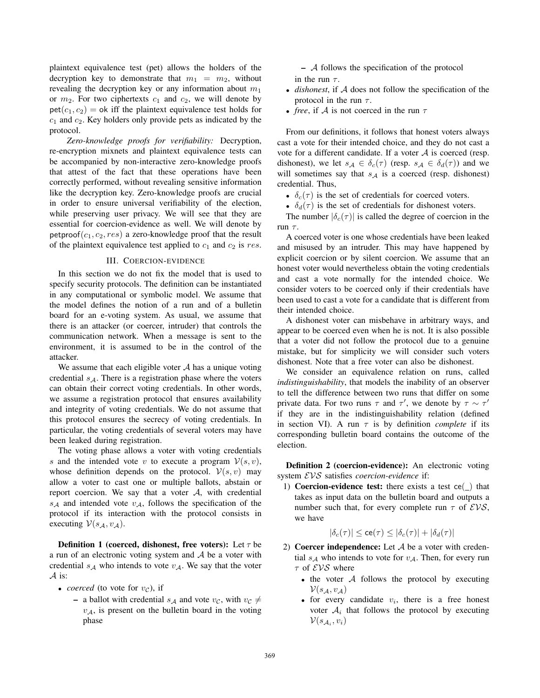plaintext equivalence test (pet) allows the holders of the decryption key to demonstrate that  $m_1 = m_2$ , without revealing the decryption key or any information about  $m_1$ or  $m_2$ . For two ciphertexts  $c_1$  and  $c_2$ , we will denote by  $pet(c_1, c_2) = ok$  iff the plaintext equivalence test holds for  $c_1$  and  $c_2$ . Key holders only provide pets as indicated by the protocol.

*Zero-knowledge proofs for verifiability:* Decryption, re-encryption mixnets and plaintext equivalence tests can be accompanied by non-interactive zero-knowledge proofs that attest of the fact that these operations have been correctly performed, without revealing sensitive information like the decryption key. Zero-knowledge proofs are crucial in order to ensure universal verifiability of the election, while preserving user privacy. We will see that they are essential for coercion-evidence as well. We will denote by petproof( $c_1, c_2, res$ ) a zero-knowledge proof that the result of the plaintext equivalence test applied to  $c_1$  and  $c_2$  is res.

## III. COERCION-EVIDENCE

In this section we do not fix the model that is used to specify security protocols. The definition can be instantiated in any computational or symbolic model. We assume that the model defines the notion of a run and of a bulletin board for an e-voting system. As usual, we assume that there is an attacker (or coercer, intruder) that controls the communication network. When a message is sent to the environment, it is assumed to be in the control of the attacker.

We assume that each eligible voter  $A$  has a unique voting credential  $s_A$ . There is a registration phase where the voters can obtain their correct voting credentials. In other words, we assume a registration protocol that ensures availability and integrity of voting credentials. We do not assume that this protocol ensures the secrecy of voting credentials. In particular, the voting credentials of several voters may have been leaked during registration.

The voting phase allows a voter with voting credentials s and the intended vote v to execute a program  $V(s, v)$ , whose definition depends on the protocol.  $V(s, v)$  may allow a voter to cast one or multiple ballots, abstain or report coercion. We say that a voter  $A$ , with credential  $s_A$  and intended vote  $v_A$ , follows the specification of the protocol if its interaction with the protocol consists in executing  $V(s_A, v_A)$ .

**Definition 1 (coerced, dishonest, free voters):** Let  $\tau$  be a run of an electronic voting system and  $A$  be a voter with credential  $s_A$  who intends to vote  $v_A$ . We say that the voter  $\mathcal A$  is:

- *coerced* (to vote for  $v_c$ ), if
	- a ballot with credential  $s_A$  and vote  $v_C$ , with  $v_C \neq$  $v_A$ , is present on the bulletin board in the voting phase

– A follows the specification of the protocol in the run  $\tau$ .

- *dishonest*, if A does not follow the specification of the protocol in the run  $\tau$ .
- *free*, if A is not coerced in the run  $\tau$

From our definitions, it follows that honest voters always cast a vote for their intended choice, and they do not cast a vote for a different candidate. If a voter  $A$  is coerced (resp. dishonest), we let  $s_A \in \delta_c(\tau)$  (resp.  $s_A \in \delta_d(\tau)$ ) and we will sometimes say that  $s_A$  is a coerced (resp. dishonest) credential. Thus,

- $\delta_c(\tau)$  is the set of credentials for coerced voters.
- $\delta_d(\tau)$  is the set of credentials for dishonest voters.

The number  $|\delta_c(\tau)|$  is called the degree of coercion in the run  $\tau$ .

A coerced voter is one whose credentials have been leaked and misused by an intruder. This may have happened by explicit coercion or by silent coercion. We assume that an honest voter would nevertheless obtain the voting credentials and cast a vote normally for the intended choice. We consider voters to be coerced only if their credentials have been used to cast a vote for a candidate that is different from their intended choice.

A dishonest voter can misbehave in arbitrary ways, and appear to be coerced even when he is not. It is also possible that a voter did not follow the protocol due to a genuine mistake, but for simplicity we will consider such voters dishonest. Note that a free voter can also be dishonest.

We consider an equivalence relation on runs, called *indistinguishability*, that models the inability of an observer to tell the difference between two runs that differ on some private data. For two runs  $\tau$  and  $\tau'$ , we denote by  $\tau \sim \tau'$ if they are in the indistinguishability relation (defined in section VI). A run  $\tau$  is by definition *complete* if its corresponding bulletin board contains the outcome of the election.

Definition 2 (coercion-evidence): An electronic voting system EVS satisfies *coercion-evidence* if:

1) Coercion-evidence test: there exists a test ce( ) that takes as input data on the bulletin board and outputs a number such that, for every complete run  $\tau$  of  $EVS$ , we have

$$
|\delta_c(\tau)| \leq \mathrm{ce}(\tau) \leq |\delta_c(\tau)| + |\delta_d(\tau)|
$$

- 2) Coercer independence: Let  $A$  be a voter with credential  $s_A$  who intends to vote for  $v_A$ . Then, for every run  $\tau$  of  $EVS$  where
	- the voter  $\mathcal A$  follows the protocol by executing  $V(s_{\mathcal{A}}, v_{\mathcal{A}})$
	- for every candidate  $v_i$ , there is a free honest voter  $A_i$  that follows the protocol by executing  $\mathcal{V}(s_{\mathcal{A}_i}, v_i)$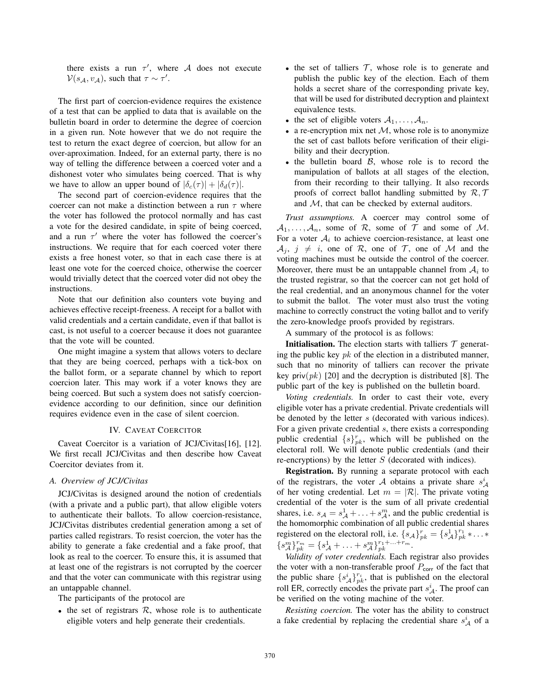there exists a run  $\tau'$ , where A does not execute  $V(s_A, v_A)$ , such that  $\tau \sim \tau'$ .

The first part of coercion-evidence requires the existence of a test that can be applied to data that is available on the bulletin board in order to determine the degree of coercion in a given run. Note however that we do not require the test to return the exact degree of coercion, but allow for an over-aproximation. Indeed, for an external party, there is no way of telling the difference between a coerced voter and a dishonest voter who simulates being coerced. That is why we have to allow an upper bound of  $|\delta_c(\tau)| + |\delta_d(\tau)|$ .

The second part of coercion-evidence requires that the coercer can not make a distinction between a run  $\tau$  where the voter has followed the protocol normally and has cast a vote for the desired candidate, in spite of being coerced, and a run  $\tau'$  where the voter has followed the coercer's instructions. We require that for each coerced voter there exists a free honest voter, so that in each case there is at least one vote for the coerced choice, otherwise the coercer would trivially detect that the coerced voter did not obey the instructions.

Note that our definition also counters vote buying and achieves effective receipt-freeness. A receipt for a ballot with valid credentials and a certain candidate, even if that ballot is cast, is not useful to a coercer because it does not guarantee that the vote will be counted.

One might imagine a system that allows voters to declare that they are being coerced, perhaps with a tick-box on the ballot form, or a separate channel by which to report coercion later. This may work if a voter knows they are being coerced. But such a system does not satisfy coercionevidence according to our definition, since our definition requires evidence even in the case of silent coercion.

#### IV. CAVEAT COERCITOR

Caveat Coercitor is a variation of JCJ/Civitas[16], [12]. We first recall JCJ/Civitas and then describe how Caveat Coercitor deviates from it.

## *A. Overview of JCJ/Civitas*

JCJ/Civitas is designed around the notion of credentials (with a private and a public part), that allow eligible voters to authenticate their ballots. To allow coercion-resistance, JCJ/Civitas distributes credential generation among a set of parties called registrars. To resist coercion, the voter has the ability to generate a fake credential and a fake proof, that look as real to the coercer. To ensure this, it is assumed that at least one of the registrars is not corrupted by the coercer and that the voter can communicate with this registrar using an untappable channel.

The participants of the protocol are

• the set of registrars  $R$ , whose role is to authenticate eligible voters and help generate their credentials.

- the set of talliers  $T$ , whose role is to generate and publish the public key of the election. Each of them holds a secret share of the corresponding private key, that will be used for distributed decryption and plaintext equivalence tests.
- the set of eligible voters  $A_1, \ldots, A_n$ .
- a re-encryption mix net  $M$ , whose role is to anonymize the set of cast ballots before verification of their eligibility and their decryption.
- the bulletin board  $\beta$ , whose role is to record the manipulation of ballots at all stages of the election, from their recording to their tallying. It also records proofs of correct ballot handling submitted by  $\mathcal{R}, \mathcal{T}$ and M, that can be checked by external auditors.

*Trust assumptions.* A coercer may control some of  $A_1, \ldots, A_n$ , some of R, some of T and some of M. For a voter  $A_i$  to achieve coercion-resistance, at least one  $A_i, j \neq i$ , one of R, one of T, one of M and the voting machines must be outside the control of the coercer. Moreover, there must be an untappable channel from  $A_i$  to the trusted registrar, so that the coercer can not get hold of the real credential, and an anonymous channel for the voter to submit the ballot. The voter must also trust the voting machine to correctly construct the voting ballot and to verify the zero-knowledge proofs provided by registrars.

A summary of the protocol is as follows:

**Initialisation.** The election starts with talliers  $T$  generating the public key  $pk$  of the election in a distributed manner, such that no minority of talliers can recover the private key priv $(pk)$  [20] and the decryption is distributed [8]. The public part of the key is published on the bulletin board.

*Voting credentials.* In order to cast their vote, every eligible voter has a private credential. Private credentials will be denoted by the letter s (decorated with various indices). For a given private credential s, there exists a corresponding public credential  $\{s\}_{pk}^r$ , which will be published on the electoral roll. We will denote public credentials (and their re-encryptions) by the letter  $S$  (decorated with indices).

Registration. By running a separate protocol with each of the registrars, the voter A obtains a private share  $s_A^i$ of her voting credential. Let  $m = |\mathcal{R}|$ . The private voting credential of the voter is the sum of all private credential shares, i.e.  $s_A = s_A^1 + \ldots + s_A^m$ , and the public credential is the homomorphic combination of all public credential shares registered on the electoral roll, i.e.  $\{s_A\}_{pk}^r = \{s_A\}_{pk}^{r_1} * \dots *$  ${s}_{\mathcal{A}}^{m} \}_{pk}^{r_{m}} = \{s_{\mathcal{A}}^{1} + \ldots + s_{\mathcal{A}}^{m} \}_{pk}^{r_{1} + \ldots + r_{m}}.$ 

*Validity of voter credentials.* Each registrar also provides the voter with a non-transferable proof  $P_{\text{corr}}$  of the fact that the public share  $\{s_A^i\}_{pk}^{r_i}$ , that is published on the electoral roll ER, correctly encodes the private part  $s_A^i$ . The proof can be verified on the voting machine of the voter.

*Resisting coercion.* The voter has the ability to construct a fake credential by replacing the credential share  $s_A^i$  of a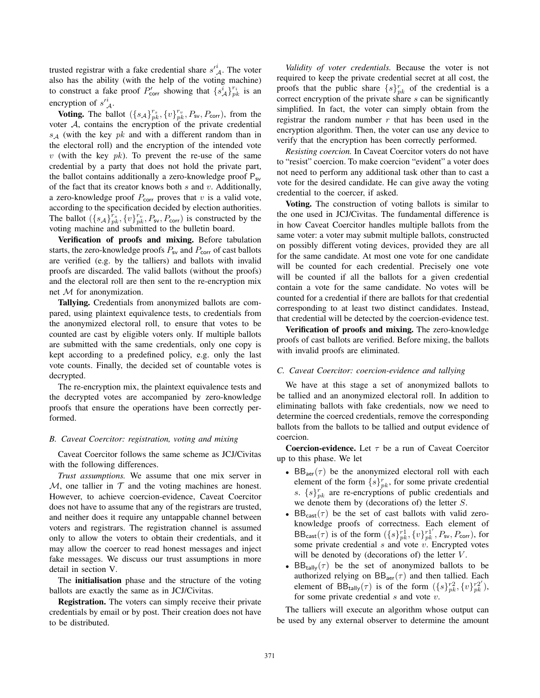trusted registrar with a fake credential share  $s^i_A$ . The voter also has the ability (with the help of the voting machine) to construct a fake proof  $P'_{\text{corr}}$  showing that  $\{s_A^i\}_{pk}^{r_i}$  is an encryption of  $s'^i_A$ .

**Voting.** The ballot  $({s_A}_{pk}^{r_s}, {v_{pk}^{r_v}}, P_{sv}, P_{cor})$ , from the voter A, contains the encryption of the private credential  $s_A$  (with the key  $pk$  and with a different random than in the electoral roll) and the encryption of the intended vote  $v$  (with the key  $pk$ ). To prevent the re-use of the same credential by a party that does not hold the private part, the ballot contains additionally a zero-knowledge proof  $P_{sv}$ of the fact that its creator knows both  $s$  and  $v$ . Additionally, a zero-knowledge proof  $P_{\text{corr}}$  proves that  $v$  is a valid vote, according to the specification decided by election authorities. The ballot  $({s_A}_{pk}^{r_s}, {v_{pk}^{r_v}, P_{sv}, P_{corr}})$  is constructed by the voting machine and submitted to the bulletin board.

Verification of proofs and mixing. Before tabulation starts, the zero-knowledge proofs  $P_{sv}$  and  $P_{corr}$  of cast ballots are verified (e.g. by the talliers) and ballots with invalid proofs are discarded. The valid ballots (without the proofs) and the electoral roll are then sent to the re-encryption mix net M for anonymization.

Tallying. Credentials from anonymized ballots are compared, using plaintext equivalence tests, to credentials from the anonymized electoral roll, to ensure that votes to be counted are cast by eligible voters only. If multiple ballots are submitted with the same credentials, only one copy is kept according to a predefined policy, e.g. only the last vote counts. Finally, the decided set of countable votes is decrypted.

The re-encryption mix, the plaintext equivalence tests and the decrypted votes are accompanied by zero-knowledge proofs that ensure the operations have been correctly performed.

#### *B. Caveat Coercitor: registration, voting and mixing*

Caveat Coercitor follows the same scheme as JCJ/Civitas with the following differences.

*Trust assumptions.* We assume that one mix server in M, one tallier in  $T$  and the voting machines are honest. However, to achieve coercion-evidence, Caveat Coercitor does not have to assume that any of the registrars are trusted, and neither does it require any untappable channel between voters and registrars. The registration channel is assumed only to allow the voters to obtain their credentials, and it may allow the coercer to read honest messages and inject fake messages. We discuss our trust assumptions in more detail in section V.

The initialisation phase and the structure of the voting ballots are exactly the same as in JCJ/Civitas.

Registration. The voters can simply receive their private credentials by email or by post. Their creation does not have to be distributed.

*Validity of voter credentials.* Because the voter is not required to keep the private credential secret at all cost, the proofs that the public share  $\{s\}_{pk}^{r}$  of the credential is a correct encryption of the private share s can be significantly simplified. In fact, the voter can simply obtain from the registrar the random number  $r$  that has been used in the encryption algorithm. Then, the voter can use any device to verify that the encryption has been correctly performed.

*Resisting coercion.* In Caveat Coercitor voters do not have to "resist" coercion. To make coercion "evident" a voter does not need to perform any additional task other than to cast a vote for the desired candidate. He can give away the voting credential to the coercer, if asked.

Voting. The construction of voting ballots is similar to the one used in JCJ/Civitas. The fundamental difference is in how Caveat Coercitor handles multiple ballots from the same voter: a voter may submit multiple ballots, constructed on possibly different voting devices, provided they are all for the same candidate. At most one vote for one candidate will be counted for each credential. Precisely one vote will be counted if all the ballots for a given credential contain a vote for the same candidate. No votes will be counted for a credential if there are ballots for that credential corresponding to at least two distinct candidates. Instead, that credential will be detected by the coercion-evidence test.

Verification of proofs and mixing. The zero-knowledge proofs of cast ballots are verified. Before mixing, the ballots with invalid proofs are eliminated.

#### *C. Caveat Coercitor: coercion-evidence and tallying*

We have at this stage a set of anonymized ballots to be tallied and an anonymized electoral roll. In addition to eliminating ballots with fake credentials, now we need to determine the coerced credentials, remove the corresponding ballots from the ballots to be tallied and output evidence of coercion.

**Coercion-evidence.** Let  $\tau$  be a run of Caveat Coercitor up to this phase. We let

- $BB<sub>aer</sub>(\tau)$  be the anonymized electoral roll with each element of the form  $\{s\}_{pk}^{r}$ , for some private credential s.  $\{s\}_{pk}^{r}$  are re-encryptions of public credentials and we denote them by (decorations of) the letter S.
- $BB_{cast}(\tau)$  be the set of cast ballots with valid zeroknowledge proofs of correctness. Each element of  $BB_{\text{cast}}(\tau)$  is of the form  $(\{s\}_{pk}^{r1}, \{v\}_{pk}^{r1'}, P_{\text{sv}}, P_{\text{corr}})$ , for some private credential  $s$  and vote  $v$ . Encrypted votes will be denoted by (decorations of) the letter  $V$ .
- BB<sub>tally</sub> $(\tau)$  be the set of anonymized ballots to be authorized relying on  $BB_{\text{aer}}(\tau)$  and then tallied. Each element of  $BB_{\text{tally}}(\tau)$  is of the form  $({s\}^{r2}_{pk}, {v\}^{r2'}_{pk})$ , for some private credential  $s$  and vote  $v$ .

The talliers will execute an algorithm whose output can be used by any external observer to determine the amount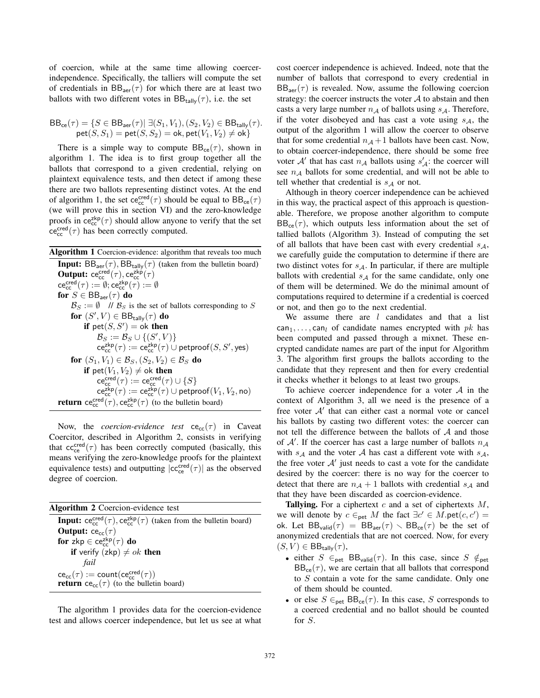of coercion, while at the same time allowing coercerindependence. Specifically, the talliers will compute the set of credentials in  $BB<sub>aer</sub>(\tau)$  for which there are at least two ballots with two different votes in  $BB_{\text{tally}}(\tau)$ , i.e. the set

$$
\begin{array}{c} \mathsf{BB_{ce}}(\tau) = \{S \in \mathsf{BB_{aer}}(\tau) | \ \exists (S_1, V_1), (S_2, V_2) \in \mathsf{BB_{tally}}(\tau). \\ \mathsf{pet}(S, S_1) = \mathsf{pet}(S, S_2) = \mathsf{ok}, \mathsf{pet}(V_1, V_2) \neq \mathsf{ok} \} \end{array}
$$

There is a simple way to compute  $BB_{ce}(\tau)$ , shown in algorithm 1. The idea is to first group together all the ballots that correspond to a given credential, relying on plaintext equivalence tests, and then detect if among these there are two ballots representing distinct votes. At the end of algorithm 1, the set  $\vec{c}^{cred}_{cc}(\tau)$  should be equal to  $BB_{ce}(\tau)$ (we will prove this in section VI) and the zero-knowledge proofs in  $ce_{cc}^{zkp}(\tau)$  should allow anyone to verify that the set  $\text{ce}_\text{cc}^{\text{cred}}(\tau)$  has been correctly computed.

Algorithm 1 Coercion-evidence: algorithm that reveals too much **Input:**  $BB_{\text{aer}}(\tau)$ ,  $BB_{\text{tally}}(\tau)$  (taken from the bulletin board) **Output:**  $ce_{cc}^{cred}(\tau)$ ,  $ce_{cc}^{zkp}(\tau)$  $\mathsf{ce}_{\mathsf{cc}}^{\mathsf{cred}}(\tau) := \emptyset; \mathsf{ce}_{\mathsf{cc}}^{\mathsf{zkp}}(\tau) := \emptyset$ for  $S \in \mathsf{BB}_{\mathsf{aer}}(\tau)$  do  $\mathcal{B}_S := \emptyset$  //  $\mathcal{B}_S$  is the set of ballots corresponding to S for  $(S', V) \in \mathsf{BB}_{\mathsf{tally}}(\tau)$  do if  $\mathsf{pet}(S, S') = \mathsf{ok}$  then  $\mathcal{B}_S := \mathcal{B}_S \cup \{(S',V)\}$  $\mathsf{ce}_{\mathsf{cc}}^{\mathsf{zkp}}(\tau) := \mathsf{ce}_{\mathsf{cc}}^{\mathsf{zkp}}(\tau) \cup \mathsf{petproof}(S,S',\mathsf{yes})$ for  $(S_1, V_1) \in \mathcal{B}_S$ ,  $(S_2, V_2) \in \mathcal{B}_S$  do if  $pet(V_1, V_2) \neq ok$  then  $\mathsf{ce}^\mathsf{cred}_\mathsf{cc}(\tau) := \mathsf{ce}^\mathsf{cred}_\mathsf{cc}(\tau) \cup \{S\}$  $\overline{\mathsf{ce}}_{\mathsf{cc}}^{\mathsf{zkp}}(\tau) := \overline{\mathsf{ce}}_{\mathsf{cc}}^{\mathsf{zkp}}(\tau) \cup \mathsf{petproof}(V_1, V_2, \mathsf{no})$ **return**  $ce_{cc}^{cred}(\tau)$ ,  $ce_{cc}^{zkp}(\tau)$  (to the bulletin board)

Now, the *coercion-evidence* test  $ce_{cc}(\tau)$  in Caveat Coercitor, described in Algorithm 2, consists in verifying that  $cc_{ce}^{cred}(\tau)$  has been correctly computed (basically, this means verifying the zero-knowledge proofs for the plaintext equivalence tests) and outputting  $|cc_{ce}^{pred}(\tau)|$  as the observed degree of coercion.

Algorithm 2 Coercion-evidence test **Input:**  $ce_{cc}^{cred}(\tau)$ ,  $ce_{cc}^{zkp}(\tau)$  (taken from the bulletin board) **Output:**  $ce_{cc}(\tau)$ for  $z k p \in ce_{cc}^{z k p}(\tau)$  do if verify (zkp)  $\neq$  ok then *fail*  $\operatorname{ce}_{\operatorname{cc}}(\tau) := \operatorname{count}(\operatorname{ce}_{\operatorname{cc}}^{\operatorname{cred}}(\tau))$ **return** ce<sub>cc</sub>( $\tau$ ) (to the bulletin board)

The algorithm 1 provides data for the coercion-evidence test and allows coercer independence, but let us see at what

cost coercer independence is achieved. Indeed, note that the number of ballots that correspond to every credential in  $BB<sub>aer</sub>(\tau)$  is revealed. Now, assume the following coercion strategy: the coercer instructs the voter  $A$  to abstain and then casts a very large number  $n_A$  of ballots using  $s_A$ . Therefore, if the voter disobeyed and has cast a vote using  $s_A$ , the output of the algorithm 1 will allow the coercer to observe that for some credential  $n_A + 1$  ballots have been cast. Now, to obtain coercer-independence, there should be some free voter  $A'$  that has cast  $n_A$  ballots using  $s'_A$ : the coercer will see  $n_A$  ballots for some credential, and will not be able to tell whether that credential is  $s_A$  or not.

Although in theory coercer independence can be achieved in this way, the practical aspect of this approach is questionable. Therefore, we propose another algorithm to compute  $BB_{ce}(\tau)$ , which outputs less information about the set of tallied ballots (Algorithm 3). Instead of computing the set of all ballots that have been cast with every credential  $s_A$ , we carefully guide the computation to determine if there are two distinct votes for  $s_A$ . In particular, if there are multiple ballots with credential  $s_A$  for the same candidate, only one of them will be determined. We do the minimal amount of computations required to determine if a credential is coerced or not, and then go to the next credential.

We assume there are  $l$  candidates and that a list can<sub>1</sub>,..., can<sub>l</sub> of candidate names encrypted with pk has been computed and passed through a mixnet. These encrypted candidate names are part of the input for Algorithm 3. The algorithm first groups the ballots according to the candidate that they represent and then for every credential it checks whether it belongs to at least two groups.

To achieve coercer independence for a voter  $A$  in the context of Algorithm 3, all we need is the presence of a free voter  $A'$  that can either cast a normal vote or cancel his ballots by casting two different votes: the coercer can not tell the difference between the ballots of  $A$  and those of  $A'$ . If the coercer has cast a large number of ballots  $n_A$ with  $s_A$  and the voter A has cast a different vote with  $s_A$ , the free voter  $A'$  just needs to cast a vote for the candidate desired by the coercer: there is no way for the coercer to detect that there are  $n_A + 1$  ballots with credential  $s_A$  and that they have been discarded as coercion-evidence.

Tallying. For a ciphertext  $c$  and a set of ciphertexts  $M$ , we will denote by  $c \in_{\text{pet}} M$  the fact  $\exists c' \in M.\text{pet}(c, c') =$ ok. Let  $BB_{valid}(\tau) = BB_{aer}(\tau) \setminus BB_{ce}(\tau)$  be the set of anonymized credentials that are not coerced. Now, for every  $(S, V) \in \mathsf{BB}_{\mathsf{tally}}(\tau)$ ,

- either  $S \in_{\text{pet}} \text{BB}_{\text{valid}}(\tau)$ . In this case, since  $S \notin_{\text{pet}}$  $BB_{ce}(\tau)$ , we are certain that all ballots that correspond to S contain a vote for the same candidate. Only one of them should be counted.
- or else  $S \in_{\text{pet}} BB_{\text{ce}}(\tau)$ . In this case, S corresponds to a coerced credential and no ballot should be counted for S.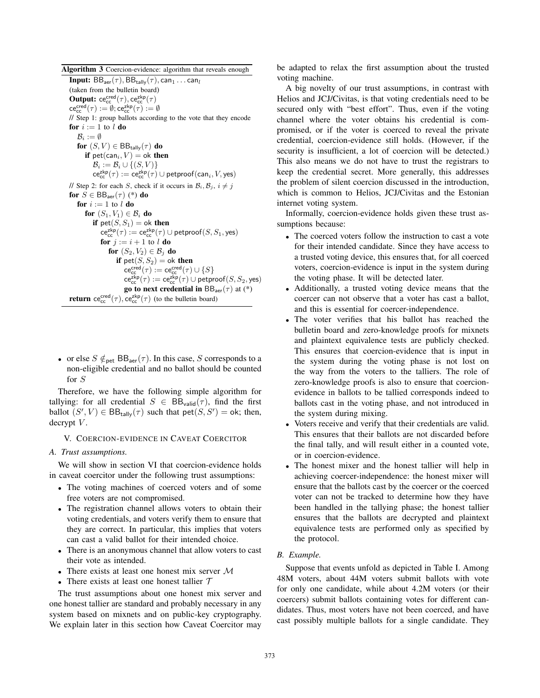Algorithm 3 Coercion-evidence: algorithm that reveals enough **Input:**  $BB_{\text{aer}}(\tau)$ ,  $BB_{\text{tally}}(\tau)$ , can<sub>1</sub> ... can<sub>l</sub> (taken from the bulletin board) **Output:**  $ce_{cc}^{cred}(\tau)$ ,  $ce_{cc}^{zkp}(\tau)$  $\mathsf{ce}_{\mathsf{cc}}^{\mathsf{cred}}(\tau) := \emptyset; \mathsf{ce}_{\mathsf{cc}}^{\mathsf{zkp}}(\tau) := \emptyset$ // Step 1: group ballots according to the vote that they encode for  $i := 1$  to  $l$  do  $\mathcal{B}_i := \emptyset$ for  $(S, V) \in \mathsf{BB}_{\mathsf{tally}}(\tau)$  do if  $pet(can_i, V) = ok$  then  $\mathcal{B}_i := \mathcal{B}_i \cup \{ (S, V) \}$  $\mathsf{ce}_{\mathsf{cc}}^{\mathsf{zkp}}(\tau) := \mathsf{ce}_{\mathsf{cc}}^{\mathsf{zkp}}(\tau) \cup \mathsf{petproof}(\mathsf{can}_i, V, \mathsf{yes})$ // Step 2: for each *S*, check if it occurs in  $B_i$ ,  $B_j$ ,  $i \neq j$ for  $S \in \text{BB}_{\text{aer}}(\tau)$  (\*) do for  $i := 1$  to  $l$  do for  $(S_1, V_1) \in \mathcal{B}_i$  do if  $pet(S, S_1) = ok$  then  ${\sf ce}_{\sf cc}^{\sf zkp}(\tau) := {\sf ce}_{\sf cc}^{\sf zkp}(\tau) \cup {\sf petproof}(S,S_1,{\sf yes})$ for  $j := i + 1$  to l do for  $(S_2, V_2) \in \mathcal{B}_i$  do if  $pet(S, S_2) = ok$  then  ${\sf ce}_{\sf cc}^{\sf cred}(\tau) := {\sf ce}_{\sf cc}^{\sf cred}(\tau) \cup \{S\}$  ${\sf ce}_{\sf cc}^{{\sf zkp}}(\tau) := {\sf ce}_{\sf cc}^{{\sf zkp}}(\tau) \cup {\sf petproof}(S,S_2,{\sf yes})$ go to next credential in  $BB<sub>aer</sub>(\tau)$  at (\*) **return**  $ce_{cc}^{cred}(\tau)$ ,  $ce_{cc}^{zkp}(\tau)$  (to the bulletin board)

• or else  $S \notin_{\text{pet}} BB_{\text{aer}}(\tau)$ . In this case, S corresponds to a non-eligible credential and no ballot should be counted for S

Therefore, we have the following simple algorithm for tallying: for all credential  $S \in BB_{valid}(\tau)$ , find the first ballot  $(S', V) \in \text{BB}_{\text{tally}}(\tau)$  such that  $\text{pet}(S, S') = \text{ok}$ ; then, decrypt  $V$ .

## V. COERCION-EVIDENCE IN CAVEAT COERCITOR

# *A. Trust assumptions.*

We will show in section VI that coercion-evidence holds in caveat coercitor under the following trust assumptions:

- The voting machines of coerced voters and of some free voters are not compromised.
- The registration channel allows voters to obtain their voting credentials, and voters verify them to ensure that they are correct. In particular, this implies that voters can cast a valid ballot for their intended choice.
- There is an anonymous channel that allow voters to cast their vote as intended.
- There exists at least one honest mix server M
- There exists at least one honest tallier  $T$

The trust assumptions about one honest mix server and one honest tallier are standard and probably necessary in any system based on mixnets and on public-key cryptography. We explain later in this section how Caveat Coercitor may be adapted to relax the first assumption about the trusted voting machine.

A big novelty of our trust assumptions, in contrast with Helios and JCJ/Civitas, is that voting credentials need to be secured only with "best effort". Thus, even if the voting channel where the voter obtains his credential is compromised, or if the voter is coerced to reveal the private credential, coercion-evidence still holds. (However, if the security is insufficient, a lot of coercion will be detected.) This also means we do not have to trust the registrars to keep the credential secret. More generally, this addresses the problem of silent coercion discussed in the introduction, which is common to Helios, JCJ/Civitas and the Estonian internet voting system.

Informally, coercion-evidence holds given these trust assumptions because:

- The coerced voters follow the instruction to cast a vote for their intended candidate. Since they have access to a trusted voting device, this ensures that, for all coerced voters, coercion-evidence is input in the system during the voting phase. It will be detected later.
- Additionally, a trusted voting device means that the coercer can not observe that a voter has cast a ballot, and this is essential for coercer-independence.
- The voter verifies that his ballot has reached the bulletin board and zero-knowledge proofs for mixnets and plaintext equivalence tests are publicly checked. This ensures that coercion-evidence that is input in the system during the voting phase is not lost on the way from the voters to the talliers. The role of zero-knowledge proofs is also to ensure that coercionevidence in ballots to be tallied corresponds indeed to ballots cast in the voting phase, and not introduced in the system during mixing.
- Voters receive and verify that their credentials are valid. This ensures that their ballots are not discarded before the final tally, and will result either in a counted vote, or in coercion-evidence.
- The honest mixer and the honest tallier will help in achieving coercer-independence: the honest mixer will ensure that the ballots cast by the coercer or the coerced voter can not be tracked to determine how they have been handled in the tallying phase; the honest tallier ensures that the ballots are decrypted and plaintext equivalence tests are performed only as specified by the protocol.

## *B. Example.*

Suppose that events unfold as depicted in Table I. Among 48M voters, about 44M voters submit ballots with vote for only one candidate, while about 4.2M voters (or their coercers) submit ballots containing votes for different candidates. Thus, most voters have not been coerced, and have cast possibly multiple ballots for a single candidate. They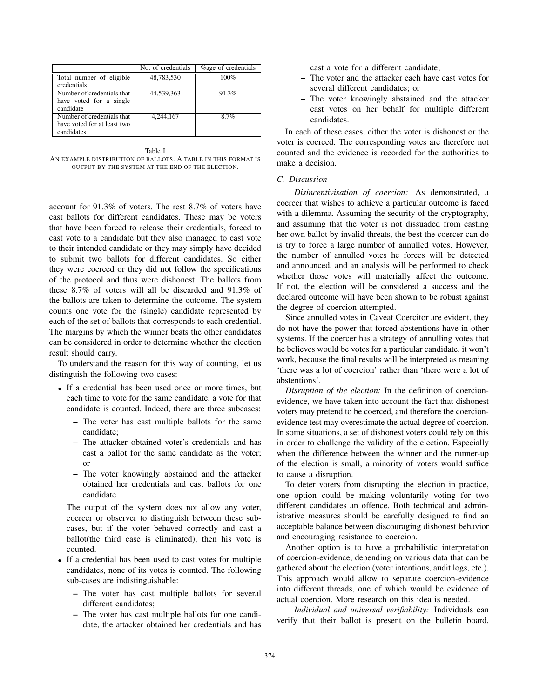|                             | No. of credentials | <b>%</b> age of credentials |
|-----------------------------|--------------------|-----------------------------|
| Total number of eligible    | 48,783,530         | $100\%$                     |
| credentials                 |                    |                             |
| Number of credentials that  | 44,539,363         | 91.3%                       |
| have voted for a single     |                    |                             |
| candidate                   |                    |                             |
| Number of credentials that  | 4.244.167          | 87%                         |
| have voted for at least two |                    |                             |
| candidates                  |                    |                             |

Table I AN EXAMPLE DISTRIBUTION OF BALLOTS. A TABLE IN THIS FORMAT IS OUTPUT BY THE SYSTEM AT THE END OF THE ELECTION.

account for 91.3% of voters. The rest 8.7% of voters have cast ballots for different candidates. These may be voters that have been forced to release their credentials, forced to cast vote to a candidate but they also managed to cast vote to their intended candidate or they may simply have decided to submit two ballots for different candidates. So either they were coerced or they did not follow the specifications of the protocol and thus were dishonest. The ballots from these 8.7% of voters will all be discarded and 91.3% of the ballots are taken to determine the outcome. The system counts one vote for the (single) candidate represented by each of the set of ballots that corresponds to each credential. The margins by which the winner beats the other candidates can be considered in order to determine whether the election result should carry.

To understand the reason for this way of counting, let us distinguish the following two cases:

- If a credential has been used once or more times, but each time to vote for the same candidate, a vote for that candidate is counted. Indeed, there are three subcases:
	- The voter has cast multiple ballots for the same candidate;
	- The attacker obtained voter's credentials and has cast a ballot for the same candidate as the voter; or
	- The voter knowingly abstained and the attacker obtained her credentials and cast ballots for one candidate.

The output of the system does not allow any voter, coercer or observer to distinguish between these subcases, but if the voter behaved correctly and cast a ballot(the third case is eliminated), then his vote is counted.

- If a credential has been used to cast votes for multiple candidates, none of its votes is counted. The following sub-cases are indistinguishable:
	- The voter has cast multiple ballots for several different candidates;
	- The voter has cast multiple ballots for one candidate, the attacker obtained her credentials and has

cast a vote for a different candidate;

- The voter and the attacker each have cast votes for several different candidates; or
- The voter knowingly abstained and the attacker cast votes on her behalf for multiple different candidates.

In each of these cases, either the voter is dishonest or the voter is coerced. The corresponding votes are therefore not counted and the evidence is recorded for the authorities to make a decision.

## *C. Discussion*

*Disincentivisation of coercion:* As demonstrated, a coercer that wishes to achieve a particular outcome is faced with a dilemma. Assuming the security of the cryptography, and assuming that the voter is not dissuaded from casting her own ballot by invalid threats, the best the coercer can do is try to force a large number of annulled votes. However, the number of annulled votes he forces will be detected and announced, and an analysis will be performed to check whether those votes will materially affect the outcome. If not, the election will be considered a success and the declared outcome will have been shown to be robust against the degree of coercion attempted.

Since annulled votes in Caveat Coercitor are evident, they do not have the power that forced abstentions have in other systems. If the coercer has a strategy of annulling votes that he believes would be votes for a particular candidate, it won't work, because the final results will be interpreted as meaning 'there was a lot of coercion' rather than 'there were a lot of abstentions'.

*Disruption of the election:* In the definition of coercionevidence, we have taken into account the fact that dishonest voters may pretend to be coerced, and therefore the coercionevidence test may overestimate the actual degree of coercion. In some situations, a set of dishonest voters could rely on this in order to challenge the validity of the election. Especially when the difference between the winner and the runner-up of the election is small, a minority of voters would suffice to cause a disruption.

To deter voters from disrupting the election in practice, one option could be making voluntarily voting for two different candidates an offence. Both technical and administrative measures should be carefully designed to find an acceptable balance between discouraging dishonest behavior and encouraging resistance to coercion.

Another option is to have a probabilistic interpretation of coercion-evidence, depending on various data that can be gathered about the election (voter intentions, audit logs, etc.). This approach would allow to separate coercion-evidence into different threads, one of which would be evidence of actual coercion. More research on this idea is needed.

*Individual and universal verifiability:* Individuals can verify that their ballot is present on the bulletin board,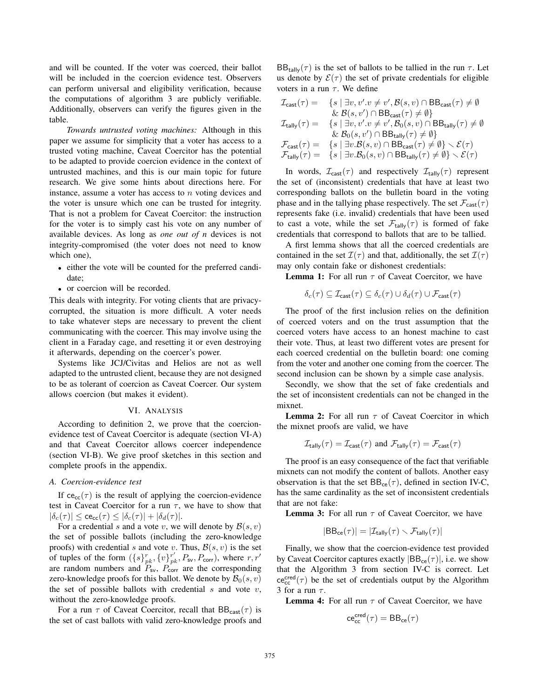and will be counted. If the voter was coerced, their ballot will be included in the coercion evidence test. Observers can perform universal and eligibility verification, because the computations of algorithm 3 are publicly verifiable. Additionally, observers can verify the figures given in the table.

*Towards untrusted voting machines:* Although in this paper we assume for simplicity that a voter has access to a trusted voting machine, Caveat Coercitor has the potential to be adapted to provide coercion evidence in the context of untrusted machines, and this is our main topic for future research. We give some hints about directions here. For instance, assume a voter has access to  $n$  voting devices and the voter is unsure which one can be trusted for integrity. That is not a problem for Caveat Coercitor: the instruction for the voter is to simply cast his vote on any number of available devices. As long as *one out of n* devices is not integrity-compromised (the voter does not need to know which one),

- either the vote will be counted for the preferred candidate;
- or coercion will be recorded.

This deals with integrity. For voting clients that are privacycorrupted, the situation is more difficult. A voter needs to take whatever steps are necessary to prevent the client communicating with the coercer. This may involve using the client in a Faraday cage, and resetting it or even destroying it afterwards, depending on the coercer's power.

Systems like JCJ/Civitas and Helios are not as well adapted to the untrusted client, because they are not designed to be as tolerant of coercion as Caveat Coercer. Our system allows coercion (but makes it evident).

#### VI. ANALYSIS

According to definition 2, we prove that the coercionevidence test of Caveat Coercitor is adequate (section VI-A) and that Caveat Coercitor allows coercer independence (section VI-B). We give proof sketches in this section and complete proofs in the appendix.

#### *A. Coercion-evidence test*

If  $ce_{cc}(\tau)$  is the result of applying the coercion-evidence test in Caveat Coercitor for a run  $\tau$ , we have to show that  $|\delta_c(\tau)| \leq c e_{cc}(\tau) \leq |\delta_c(\tau)| + |\delta_d(\tau)|.$ 

For a credential s and a vote v, we will denote by  $\mathcal{B}(s, v)$ the set of possible ballots (including the zero-knowledge proofs) with credential s and vote v. Thus,  $B(s, v)$  is the set of tuples of the form  $({s}_{pk}^{r}, {v}_{pk}^{r'}, P_{sv}, P_{corr})$ , where  $r, r'$ are random numbers and  $P_{\text{sv}}$ ,  $P_{\text{corr}}$  are the corresponding zero-knowledge proofs for this ballot. We denote by  $\mathcal{B}_0(s, v)$ the set of possible ballots with credential s and vote  $v$ , without the zero-knowledge proofs.

For a run  $\tau$  of Caveat Coercitor, recall that  $BB_{\text{cast}}(\tau)$  is the set of cast ballots with valid zero-knowledge proofs and  $BB_{\text{tally}}(\tau)$  is the set of ballots to be tallied in the run  $\tau$ . Let us denote by  $\mathcal{E}(\tau)$  the set of private credentials for eligible voters in a run  $\tau$ . We define

$$
\begin{array}{ll} \mathcal{I}_{\text{cast}}(\tau)= & \{s \mid \exists v, v'.v\neq v', \mathcal{B}(s,v) \cap \text{BB}_{\text{cast}}(\tau)\neq \emptyset \\ & \& \mathcal{B}(s,v') \cap \text{BB}_{\text{cast}}(\tau)\neq \emptyset\} \\ \mathcal{I}_{\text{tally}}(\tau)= & \{s \mid \exists v, v'.v\neq v', \mathcal{B}_0(s,v) \cap \text{BB}_{\text{tally}}(\tau)\neq \emptyset \\ & \& \mathcal{B}_0(s,v') \cap \text{BB}_{\text{tally}}(\tau)\neq \emptyset\} \\ \mathcal{F}_{\text{cast}}(\tau)= & \{s \mid \exists v. \mathcal{B}(s,v) \cap \text{BB}_{\text{cast}}(\tau)\neq \emptyset\} \smallsetminus \mathcal{E}(\tau) \\ \mathcal{F}_{\text{tally}}(\tau)= & \{s \mid \exists v. \mathcal{B}_0(s,v) \cap \text{BB}_{\text{tally}}(\tau)\neq \emptyset\} \smallsetminus \mathcal{E}(\tau) \end{array}
$$

In words,  $\mathcal{I}_{\text{cast}}(\tau)$  and respectively  $\mathcal{I}_{\text{tally}}(\tau)$  represent the set of (inconsistent) credentials that have at least two corresponding ballots on the bulletin board in the voting phase and in the tallying phase respectively. The set  $\mathcal{F}_{\text{cast}}(\tau)$ represents fake (i.e. invalid) credentials that have been used to cast a vote, while the set  $\mathcal{F}_{\text{tally}}(\tau)$  is formed of fake credentials that correspond to ballots that are to be tallied.

A first lemma shows that all the coerced credentials are contained in the set  $\mathcal{I}(\tau)$  and that, additionally, the set  $\mathcal{I}(\tau)$ may only contain fake or dishonest credentials:

**Lemma 1:** For all run  $\tau$  of Caveat Coercitor, we have

$$
\delta_c(\tau) \subseteq \mathcal{I}_{\text{cast}}(\tau) \subseteq \delta_c(\tau) \cup \delta_d(\tau) \cup \mathcal{F}_{\text{cast}}(\tau)
$$

The proof of the first inclusion relies on the definition of coerced voters and on the trust assumption that the coerced voters have access to an honest machine to cast their vote. Thus, at least two different votes are present for each coerced credential on the bulletin board: one coming from the voter and another one coming from the coercer. The second inclusion can be shown by a simple case analysis.

Secondly, we show that the set of fake credentials and the set of inconsistent credentials can not be changed in the mixnet.

**Lemma 2:** For all run  $\tau$  of Caveat Coercitor in which the mixnet proofs are valid, we have

$$
\mathcal{I}_{\text{tally}}(\tau) = \mathcal{I}_{\text{cast}}(\tau)
$$
 and  $\mathcal{F}_{\text{tally}}(\tau) = \mathcal{F}_{\text{cast}}(\tau)$ 

The proof is an easy consequence of the fact that verifiable mixnets can not modify the content of ballots. Another easy observation is that the set  $BB_{ce}(\tau)$ , defined in section IV-C, has the same cardinality as the set of inconsistent credentials that are not fake:

**Lemma 3:** For all run  $\tau$  of Caveat Coercitor, we have

$$
|\text{BB}_{\text{ce}}(\tau)| = |\mathcal{I}_{\text{tally}}(\tau) \smallsetminus \mathcal{F}_{\text{tally}}(\tau)|
$$

Finally, we show that the coercion-evidence test provided by Caveat Coercitor captures exactly  $|BB_{ce}(\tau)|$ , i.e. we show that the Algorithm 3 from section IV-C is correct. Let  $ce_{cc}^{cred}(\tau)$  be the set of credentials output by the Algorithm 3 for a run  $\tau$ .

**Lemma 4:** For all run  $\tau$  of Caveat Coercitor, we have

$$
\mathsf{ce}^{\mathsf{cred}}_{\mathsf{cc}}(\tau) = \mathsf{BB}_{\mathsf{ce}}(\tau)
$$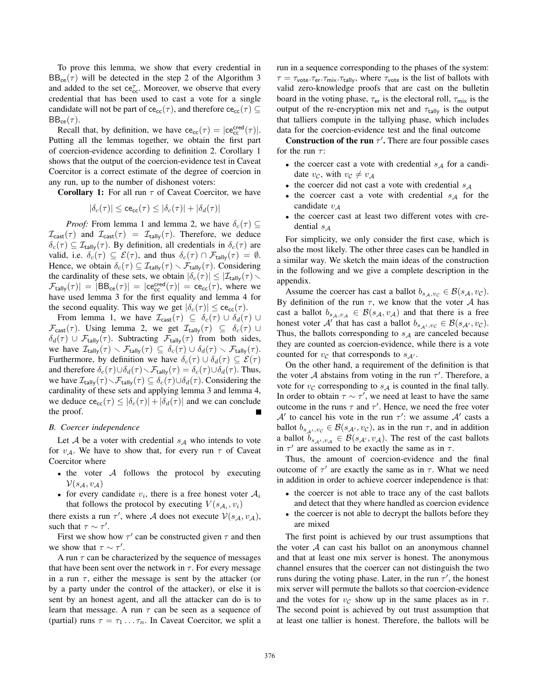To prove this lemma, we show that every credential in  $BB_{ce}(\tau)$  will be detected in the step 2 of the Algorithm 3 and added to the set  $ce_{cc}^{\tau}$ . Moreover, we observe that every credential that has been used to cast a vote for a single candidate will not be part of ce<sub>cc</sub>( $\tau$ ), and therefore ce<sub>cc</sub>( $\tau$ )  $\subseteq$  $BB_{ce}(\tau)$ .

Recall that, by definition, we have  $ce_{cc}(\tau) = |ce_{cc}^{cred}(\tau)|$ . Putting all the lemmas together, we obtain the first part of coercion-evidence according to definition 2. Corollary 1 shows that the output of the coercion-evidence test in Caveat Coercitor is a correct estimate of the degree of coercion in any run, up to the number of dishonest voters:

**Corollary 1:** For all run  $\tau$  of Caveat Coercitor, we have

$$
|\delta_c(\tau)| \leq \text{ce}_{\text{cc}}(\tau) \leq |\delta_c(\tau)| + |\delta_d(\tau)|
$$

*Proof:* From lemma 1 and lemma 2, we have  $\delta_c(\tau) \subseteq$  $\mathcal{I}_{\text{cast}}(\tau)$  and  $\mathcal{I}_{\text{cast}}(\tau) = \mathcal{I}_{\text{tally}}(\tau)$ . Therefore, we deduce  $\delta_c(\tau) \subseteq \mathcal{I}_{\text{tally}}(\tau)$ . By definition, all credentials in  $\delta_c(\tau)$  are valid, i.e.  $\delta_c(\tau) \subseteq \mathcal{E}(\tau)$ , and thus  $\delta_c(\tau) \cap \mathcal{F}_{\text{tally}}(\tau) = \emptyset$ . Hence, we obtain  $\delta_c(\tau) \subseteq \mathcal{I}_{\text{tally}}(\tau) \setminus \mathcal{F}_{\text{tally}}(\tau)$ . Considering the cardinality of these sets, we obtain  $|\delta_c(\tau)| \leq |\mathcal{I}_{\text{tally}}(\tau) \setminus$  $\mathcal{F}_{\text{tally}}(\tau)$  =  $|BB_{\text{ce}}(\tau)| = |\text{ce}_{\text{cc}}^{\text{cred}}(\tau)| = \text{ce}_{\text{cc}}(\tau)$ , where we have used lemma 3 for the first equality and lemma 4 for the second equality. This way we get  $|\delta_c(\tau)| \leq c e_{cc}(\tau)$ .

From lemma 1, we have  $\mathcal{I}_{\text{cast}}(\tau) \subseteq \delta_c(\tau) \cup \delta_d(\tau) \cup$  $\mathcal{F}_{\textsf{cast}}(\tau)$ . Using lemma 2, we get  $\mathcal{I}_{\textsf{tally}}(\tau) \subseteq \delta_c(\tau) \cup$  $\delta_d(\tau) \cup \mathcal{F}_{\text{tally}}(\tau)$ . Subtracting  $\mathcal{F}_{\text{tally}}(\tau)$  from both sides, we have  $\mathcal{I}_{\text{tally}}(\tau) \setminus \mathcal{F}_{\text{tally}}(\tau) \subseteq \delta_c(\tau) \cup \delta_d(\tau) \setminus \mathcal{F}_{\text{tally}}(\tau)$ . Furthermore, by definition we have  $\delta_c(\tau) \cup \delta_d(\tau) \subseteq \mathcal{E}(\tau)$ and therefore  $\delta_c(\tau) \cup \delta_d(\tau) \setminus \mathcal{F}_{\text{tally}}(\tau) = \delta_c(\tau) \cup \delta_d(\tau)$ . Thus, we have  $\mathcal{I}_{\text{tally}}(\tau) \setminus \mathcal{F}_{\text{tally}}(\tau) \subseteq \delta_c(\tau) \cup \delta_d(\tau)$ . Considering the cardinality of these sets and applying lemma 3 and lemma 4, we deduce  $ce_{cc}(\tau) \leq |\delta_c(\tau)| + |\delta_d(\tau)|$  and we can conclude the proof.

#### *B. Coercer independence*

Let  $A$  be a voter with credential  $s_A$  who intends to vote for  $v_A$ . We have to show that, for every run  $\tau$  of Caveat Coercitor where

- the voter  $A$  follows the protocol by executing  $\mathcal{V}(s_{\mathcal{A}},v_{\mathcal{A}})$
- for every candidate  $v_i$ , there is a free honest voter  $A_i$ that follows the protocol by executing  $V(s_{\mathcal{A}_i}, v_i)$

there exists a run  $\tau'$ , where A does not execute  $V(s_A, v_A)$ , such that  $\tau \sim \tau'$ .

First we show how  $\tau'$  can be constructed given  $\tau$  and then we show that  $\tau \sim \tau'$ .

A run  $\tau$  can be characterized by the sequence of messages that have been sent over the network in  $\tau$ . For every message in a run  $\tau$ , either the message is sent by the attacker (or by a party under the control of the attacker), or else it is sent by an honest agent, and all the attacker can do is to learn that message. A run  $\tau$  can be seen as a sequence of (partial) runs  $\tau = \tau_1 \dots \tau_n$ . In Caveat Coercitor, we split a

run in a sequence corresponding to the phases of the system:  $\tau = \tau_{\text{vote}}.\tau_{\text{er}}.\tau_{\text{mix}}.\tau_{\text{tally}}$ , where  $\tau_{\text{vote}}$  is the list of ballots with valid zero-knowledge proofs that are cast on the bulletin board in the voting phase,  $\tau_{er}$  is the electoral roll,  $\tau_{mix}$  is the output of the re-encryption mix net and  $\tau_{\text{tally}}$  is the output that talliers compute in the tallying phase, which includes data for the coercion-evidence test and the final outcome

**Construction of the run**  $\tau'$ . There are four possible cases for the run  $\tau$ :

- the coercer cast a vote with credential  $s_A$  for a candidate  $v_c$ , with  $v_c \neq v_A$
- the coercer did not cast a vote with credential  $s_A$
- the coercer cast a vote with credential  $s_A$  for the candidate  $v_A$
- the coercer cast at least two different votes with credential  $s_A$

For simplicity, we only consider the first case, which is also the most likely. The other three cases can be handled in a similar way. We sketch the main ideas of the construction in the following and we give a complete description in the appendix.

Assume the coercer has cast a ballot  $b_{s_A,v_C} \in \mathcal{B}(s_A, v_C)$ . By definition of the run  $\tau$ , we know that the voter A has cast a ballot  $b_{s_A,v_A} \in \mathcal{B}(s_A,v_A)$  and that there is a free honest voter A' that has cast a ballot  $b_{s_{A'},v_C} \in \mathcal{B}(s_{A'}, v_C)$ . Thus, the ballots corresponding to  $s_A$  are canceled because they are counted as coercion-evidence, while there is a vote counted for  $v_c$  that corresponds to  $s_{A'}$ .

On the other hand, a requirement of the definition is that the voter A abstains from voting in the run  $\tau'$ . Therefore, a vote for  $v_c$  corresponding to  $s_A$  is counted in the final tally. In order to obtain  $\tau \sim \tau'$ , we need at least to have the same outcome in the runs  $\tau$  and  $\tau'$ . Hence, we need the free voter  $A'$  to cancel his vote in the run  $\tau'$ : we assume  $A'$  casts a ballot  $b_{s_{\mathcal{A}'},v_{\mathcal{C}}} \in \mathcal{B}(s_{\mathcal{A}'},v_{\mathcal{C}})$ , as in the run  $\tau$ , and in addition a ballot  $b_{s_{\mathcal{A}}',v_{\mathcal{A}}} \in \mathcal{B}(s_{\mathcal{A}'},v_{\mathcal{A}})$ . The rest of the cast ballots in  $\tau'$  are assumed to be exactly the same as in  $\tau$ .

Thus, the amount of coercion-evidence and the final outcome of  $\tau'$  are exactly the same as in  $\tau$ . What we need in addition in order to achieve coercer independence is that:

- the coercer is not able to trace any of the cast ballots and detect that they where handled as coercion evidence
- the coercer is not able to decrypt the ballots before they are mixed

The first point is achieved by our trust assumptions that the voter  $A$  can cast his ballot on an anonymous channel and that at least one mix server is honest. The anonymous channel ensures that the coercer can not distinguish the two runs during the voting phase. Later, in the run  $\tau'$ , the honest mix server will permute the ballots so that coercion-evidence and the votes for  $v_c$  show up in the same places as in  $\tau$ . The second point is achieved by out trust assumption that at least one tallier is honest. Therefore, the ballots will be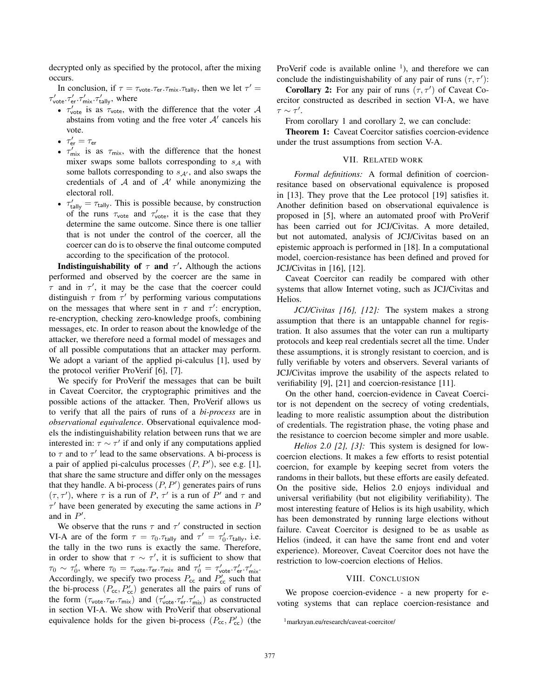decrypted only as specified by the protocol, after the mixing occurs.

In conclusion, if  $\tau = \tau_{\text{vote}}.\tau_{\text{er}}.\tau_{\text{mix}}.\tau_{\text{tally}}$ , then we let  $\tau' =$  $\tau'_{\text{vote}}.\tau'_{\text{er}}.\tau'_{\text{mix}}.\tau'_{\text{tallv}}$ , where

- $\tau_{\text{vote}}'$  is as  $\tau_{\text{vote}}$ , with the difference that the voter A abstains from voting and the free voter  $A'$  cancels his vote.
- $\bullet\ \tau_{\textsf{er}}'=\tau_{\textsf{er}}$
- $\tau'_{\text{mix}}$  is as  $\tau_{\text{mix}}$ , with the difference that the honest mixer swaps some ballots corresponding to  $s_A$  with some ballots corresponding to  $s_{A'}$ , and also swaps the credentials of  $A$  and of  $A'$  while anonymizing the electoral roll.
- $\tau'_{\text{tally}} = \tau_{\text{tally}}$ . This is possible because, by construction of the runs  $\tau_{\text{vote}}$  and  $\tau_{\text{vote}}'$ , it is the case that they determine the same outcome. Since there is one tallier that is not under the control of the coercer, all the coercer can do is to observe the final outcome computed according to the specification of the protocol.

**Indistinguishability of**  $\tau$  **and**  $\tau'$ **.** Although the actions performed and observed by the coercer are the same in  $\tau$  and in  $\tau'$ , it may be the case that the coercer could distinguish  $\tau$  from  $\tau'$  by performing various computations on the messages that where sent in  $\tau$  and  $\tau'$ : encryption, re-encryption, checking zero-knowledge proofs, combining messages, etc. In order to reason about the knowledge of the attacker, we therefore need a formal model of messages and of all possible computations that an attacker may perform. We adopt a variant of the applied pi-calculus [1], used by the protocol verifier ProVerif [6], [7].

We specify for ProVerif the messages that can be built in Caveat Coercitor, the cryptographic primitives and the possible actions of the attacker. Then, ProVerif allows us to verify that all the pairs of runs of a *bi-process* are in *observational equivalence*. Observational equivalence models the indistinguishability relation between runs that we are interested in:  $\tau \sim \tau'$  if and only if any computations applied to  $\tau$  and to  $\tau'$  lead to the same observations. A bi-process is a pair of applied pi-calculus processes  $(P, P')$ , see e.g. [1], that share the same structure and differ only on the messages that they handle. A bi-process  $(P, P')$  generates pairs of runs  $(\tau, \tau')$ , where  $\tau$  is a run of P,  $\tau'$  is a run of P' and  $\tau$  and  $\tau'$  have been generated by executing the same actions in  $P$ and in  $P'$ .

We observe that the runs  $\tau$  and  $\tau'$  constructed in section VI-A are of the form  $\tau = \tau_0.\tau_{\text{tally}}$  and  $\tau' = \tau'_0.\tau_{\text{tally}}$ , i.e. the tally in the two runs is exactly the same. Therefore, in order to show that  $\tau \sim \tau'$ , it is sufficient to show that  $\tau_0 \sim \tau_0'$ , where  $\tau_0 = \tau_{\text{vote}}.\tau_{\text{er}}.\tau_{\text{mix}}$  and  $\tau_0' = \tau_{\text{vote}}'.\tau_{\text{er}}'.\tau_{\text{mix}}'$ . Accordingly, we specify two process  $P_{\rm cc}$  and  $P_{\rm cc}$  such that the bi-process  $(P_{cc}, P_{cc}')$  generates all the pairs of runs of the form  $(\tau_{\text{vote}}.\tau_{\text{er}}.\tau_{\text{mix}})$  and  $(\tau_{\text{vote}}',\tau_{\text{er}}',\tau_{\text{mix}}')$  as constructed in section VI-A. We show with ProVerif that observational equivalence holds for the given bi-process  $(P_{cc}, P_{cc}')$  (the ProVerif code is available online  $\frac{1}{1}$ , and therefore we can conclude the indistinguishability of any pair of runs  $(\tau, \tau')$ :

**Corollary 2:** For any pair of runs  $(\tau, \tau')$  of Caveat Coercitor constructed as described in section VI-A, we have  $\tau \sim \tau'.$ 

From corollary 1 and corollary 2, we can conclude:

Theorem 1: Caveat Coercitor satisfies coercion-evidence under the trust assumptions from section V-A.

#### VII. RELATED WORK

*Formal definitions:* A formal definition of coercionresitance based on observational equivalence is proposed in [13]. They prove that the Lee protocol [19] satisfies it. Another definition based on observational equivalence is proposed in [5], where an automated proof with ProVerif has been carried out for JCJ/Civitas. A more detailed, but not automated, analysis of JCJ/Civitas based on an epistemic approach is performed in [18]. In a computational model, coercion-resistance has been defined and proved for JCJ/Civitas in [16], [12].

Caveat Coercitor can readily be compared with other systems that allow Internet voting, such as JCJ/Civitas and Helios.

*JCJ/Civitas [16], [12]:* The system makes a strong assumption that there is an untappable channel for registration. It also assumes that the voter can run a multiparty protocols and keep real credentials secret all the time. Under these assumptions, it is strongly resistant to coercion, and is fully verifiable by voters and observers. Several variants of JCJ/Civitas improve the usability of the aspects related to verifiability [9], [21] and coercion-resistance [11].

On the other hand, coercion-evidence in Caveat Coercitor is not dependent on the secrecy of voting credentials, leading to more realistic assumption about the distribution of credentials. The registration phase, the voting phase and the resistance to coercion become simpler and more usable.

*Helios 2.0 [2], [3]:* This system is designed for lowcoercion elections. It makes a few efforts to resist potential coercion, for example by keeping secret from voters the randoms in their ballots, but these efforts are easily defeated. On the positive side, Helios 2.0 enjoys individual and universal verifiability (but not eligibility verifiability). The most interesting feature of Helios is its high usability, which has been demonstrated by running large elections without failure. Caveat Coercitor is designed to be as usable as Helios (indeed, it can have the same front end and voter experience). Moreover, Caveat Coercitor does not have the restriction to low-coercion elections of Helios.

#### VIII. CONCLUSION

We propose coercion-evidence - a new property for evoting systems that can replace coercion-resistance and

<sup>1</sup>markryan.eu/research/caveat-coercitor/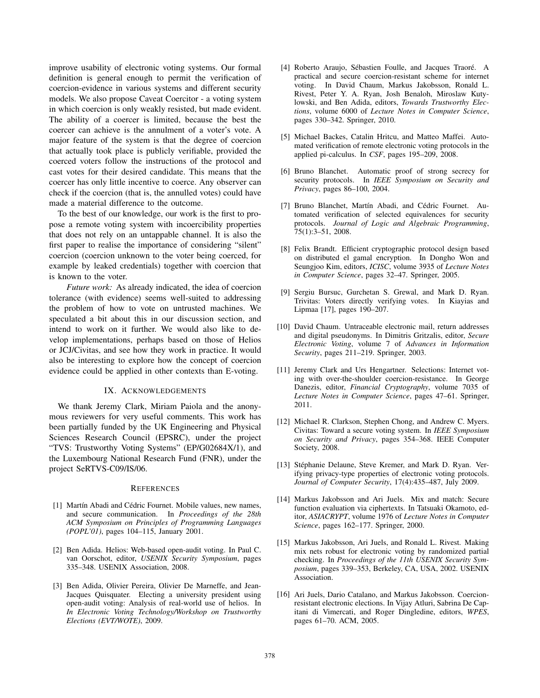improve usability of electronic voting systems. Our formal definition is general enough to permit the verification of coercion-evidence in various systems and different security models. We also propose Caveat Coercitor - a voting system in which coercion is only weakly resisted, but made evident. The ability of a coercer is limited, because the best the coercer can achieve is the annulment of a voter's vote. A major feature of the system is that the degree of coercion that actually took place is publicly verifiable, provided the coerced voters follow the instructions of the protocol and cast votes for their desired candidate. This means that the coercer has only little incentive to coerce. Any observer can check if the coercion (that is, the annulled votes) could have made a material difference to the outcome.

To the best of our knowledge, our work is the first to propose a remote voting system with incoercibility properties that does not rely on an untappable channel. It is also the first paper to realise the importance of considering "silent" coercion (coercion unknown to the voter being coerced, for example by leaked credentials) together with coercion that is known to the voter.

*Future work:* As already indicated, the idea of coercion tolerance (with evidence) seems well-suited to addressing the problem of how to vote on untrusted machines. We speculated a bit about this in our discussion section, and intend to work on it further. We would also like to develop implementations, perhaps based on those of Helios or JCJ/Civitas, and see how they work in practice. It would also be interesting to explore how the concept of coercion evidence could be applied in other contexts than E-voting.

#### IX. ACKNOWLEDGEMENTS

We thank Jeremy Clark, Miriam Paiola and the anonymous reviewers for very useful comments. This work has been partially funded by the UK Engineering and Physical Sciences Research Council (EPSRC), under the project "TVS: Trustworthy Voting Systems" (EP/G02684X/1), and the Luxembourg National Research Fund (FNR), under the project SeRTVS-C09/IS/06.

#### **REFERENCES**

- [1] Martín Abadi and Cédric Fournet. Mobile values, new names, and secure communication. In *Proceedings of the 28th ACM Symposium on Principles of Programming Languages (POPL'01)*, pages 104–115, January 2001.
- [2] Ben Adida. Helios: Web-based open-audit voting. In Paul C. van Oorschot, editor, *USENIX Security Symposium*, pages 335–348. USENIX Association, 2008.
- [3] Ben Adida, Olivier Pereira, Olivier De Marneffe, and Jean-Jacques Quisquater. Electing a university president using open-audit voting: Analysis of real-world use of helios. In *In Electronic Voting Technology/Workshop on Trustworthy Elections (EVT/WOTE)*, 2009.
- [4] Roberto Araujo, Sébastien Foulle, and Jacques Traoré. A practical and secure coercion-resistant scheme for internet voting. In David Chaum, Markus Jakobsson, Ronald L. Rivest, Peter Y. A. Ryan, Josh Benaloh, Miroslaw Kutylowski, and Ben Adida, editors, *Towards Trustworthy Elections*, volume 6000 of *Lecture Notes in Computer Science*, pages 330–342. Springer, 2010.
- [5] Michael Backes, Catalin Hritcu, and Matteo Maffei. Automated verification of remote electronic voting protocols in the applied pi-calculus. In *CSF*, pages 195–209, 2008.
- [6] Bruno Blanchet. Automatic proof of strong secrecy for security protocols. In *IEEE Symposium on Security and Privacy*, pages 86–100, 2004.
- [7] Bruno Blanchet, Martín Abadi, and Cédric Fournet. Automated verification of selected equivalences for security protocols. *Journal of Logic and Algebraic Programming*, 75(1):3–51, 2008.
- [8] Felix Brandt. Efficient cryptographic protocol design based on distributed el gamal encryption. In Dongho Won and Seungjoo Kim, editors, *ICISC*, volume 3935 of *Lecture Notes in Computer Science*, pages 32–47. Springer, 2005.
- [9] Sergiu Bursuc, Gurchetan S. Grewal, and Mark D. Ryan. Trivitas: Voters directly verifying votes. In Kiayias and Lipmaa [17], pages 190–207.
- [10] David Chaum. Untraceable electronic mail, return addresses and digital pseudonyms. In Dimitris Gritzalis, editor, *Secure Electronic Voting*, volume 7 of *Advances in Information Security*, pages 211–219. Springer, 2003.
- [11] Jeremy Clark and Urs Hengartner. Selections: Internet voting with over-the-shoulder coercion-resistance. In George Danezis, editor, *Financial Cryptography*, volume 7035 of *Lecture Notes in Computer Science*, pages 47–61. Springer, 2011.
- [12] Michael R. Clarkson, Stephen Chong, and Andrew C. Myers. Civitas: Toward a secure voting system. In *IEEE Symposium on Security and Privacy*, pages 354–368. IEEE Computer Society, 2008.
- [13] Stéphanie Delaune, Steve Kremer, and Mark D. Ryan. Verifying privacy-type properties of electronic voting protocols. *Journal of Computer Security*, 17(4):435–487, July 2009.
- [14] Markus Jakobsson and Ari Juels. Mix and match: Secure function evaluation via ciphertexts. In Tatsuaki Okamoto, editor, *ASIACRYPT*, volume 1976 of *Lecture Notes in Computer Science*, pages 162–177. Springer, 2000.
- [15] Markus Jakobsson, Ari Juels, and Ronald L. Rivest. Making mix nets robust for electronic voting by randomized partial checking. In *Proceedings of the 11th USENIX Security Symposium*, pages 339–353, Berkeley, CA, USA, 2002. USENIX Association.
- [16] Ari Juels, Dario Catalano, and Markus Jakobsson. Coercionresistant electronic elections. In Vijay Atluri, Sabrina De Capitani di Vimercati, and Roger Dingledine, editors, *WPES*, pages 61–70. ACM, 2005.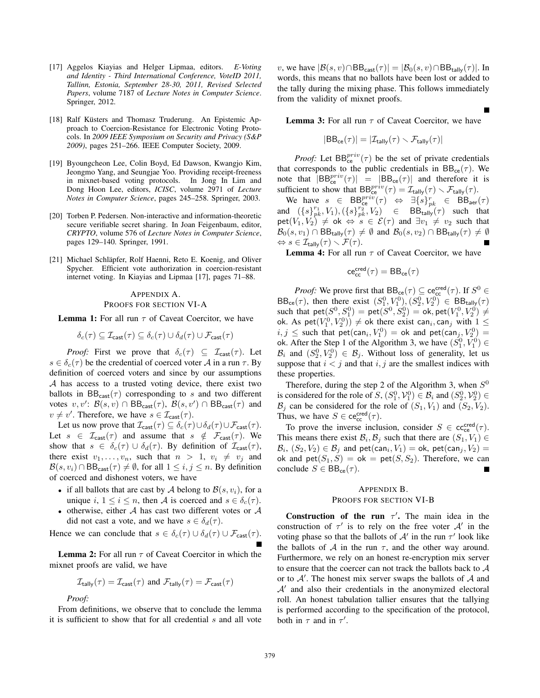- [17] Aggelos Kiayias and Helger Lipmaa, editors. *E-Voting and Identity - Third International Conference, VoteID 2011, Tallinn, Estonia, September 28-30, 2011, Revised Selected Papers*, volume 7187 of *Lecture Notes in Computer Science*. Springer, 2012.
- [18] Ralf Küsters and Thomasz Truderung. An Epistemic Approach to Coercion-Resistance for Electronic Voting Protocols. In *2009 IEEE Symposium on Security and Privacy (S&P 2009)*, pages 251–266. IEEE Computer Society, 2009.
- [19] Byoungcheon Lee, Colin Boyd, Ed Dawson, Kwangjo Kim, Jeongmo Yang, and Seungjae Yoo. Providing receipt-freeness in mixnet-based voting protocols. In Jong In Lim and Dong Hoon Lee, editors, *ICISC*, volume 2971 of *Lecture Notes in Computer Science*, pages 245–258. Springer, 2003.
- [20] Torben P. Pedersen. Non-interactive and information-theoretic secure verifiable secret sharing. In Joan Feigenbaum, editor, *CRYPTO*, volume 576 of *Lecture Notes in Computer Science*, pages 129–140. Springer, 1991.
- [21] Michael Schläpfer, Rolf Haenni, Reto E. Koenig, and Oliver Spycher. Efficient vote authorization in coercion-resistant internet voting. In Kiayias and Lipmaa [17], pages 71–88.

# APPENDIX A. PROOFS FOR SECTION VI-A

**Lemma 1:** For all run  $\tau$  of Caveat Coercitor, we have

$$
\delta_c(\tau) \subseteq \mathcal{I}_{\text{cast}}(\tau) \subseteq \delta_c(\tau) \cup \delta_d(\tau) \cup \mathcal{F}_{\text{cast}}(\tau)
$$

*Proof:* First we prove that  $\delta_c(\tau) \subseteq \mathcal{I}_{\text{cast}}(\tau)$ . Let  $s \in \delta_c(\tau)$  be the credential of coerced voter A in a run  $\tau$ . By definition of coerced voters and since by our assumptions A has access to a trusted voting device, there exist two ballots in  $BB_{cast}(\tau)$  corresponding to s and two different votes  $v, v' \colon \mathcal{B}(s, v) \cap \text{BB}_{\text{cast}}(\tau)$ ,  $\mathcal{B}(s, v') \cap \text{BB}_{\text{cast}}(\tau)$  and  $v \neq v'$ . Therefore, we have  $s \in \mathcal{I}_{\text{cast}}(\tau)$ .

Let us now prove that  $\mathcal{I}_{\text{cast}}(\tau) \subseteq \delta_c(\tau) \cup \delta_d(\tau) \cup \mathcal{F}_{\text{cast}}(\tau)$ . Let  $s \in \mathcal{I}_{\text{cast}}(\tau)$  and assume that  $s \notin \mathcal{F}_{\text{cast}}(\tau)$ . We show that  $s \in \delta_c(\tau) \cup \delta_d(\tau)$ . By definition of  $\mathcal{I}_{\text{cast}}(\tau)$ , there exist  $v_1, \ldots, v_n$ , such that  $n > 1$ ,  $v_i \neq v_j$  and  $\mathcal{B}(s, v_i) \cap \text{BB}_{\text{cast}}(\tau) \neq \emptyset$ , for all  $1 \leq i, j \leq n$ . By definition of coerced and dishonest voters, we have

- if all ballots that are cast by A belong to  $\mathcal{B}(s, v_i)$ , for a unique i,  $1 \le i \le n$ , then A is coerced and  $s \in \delta_c(\tau)$ .
- otherwise, either  $A$  has cast two different votes or  $A$ did not cast a vote, and we have  $s \in \delta_d(\tau)$ .

Hence we can conclude that  $s \in \delta_c(\tau) \cup \delta_d(\tau) \cup \mathcal{F}_{\text{cast}}(\tau)$ .

**Lemma 2:** For all run  $\tau$  of Caveat Coercitor in which the mixnet proofs are valid, we have

$$
\mathcal{I}_{\text{tally}}(\tau) = \mathcal{I}_{\text{cast}}(\tau) \text{ and } \mathcal{F}_{\text{tally}}(\tau) = \mathcal{F}_{\text{cast}}(\tau)
$$

*Proof:*

From definitions, we observe that to conclude the lemma it is sufficient to show that for all credential s and all vote v, we have  $|\mathcal{B}(s, v) \cap \text{BB}_{\text{cast}}(\tau)| = |\mathcal{B}_0(s, v) \cap \text{BB}_{\text{tally}}(\tau)|$ . In words, this means that no ballots have been lost or added to the tally during the mixing phase. This follows immediately from the validity of mixnet proofs.

**Lemma 3:** For all run  $\tau$  of Caveat Coercitor, we have

П

$$
|\text{BB}_{\text{ce}}(\tau)| = |\mathcal{I}_{\text{tally}}(\tau) \smallsetminus \mathcal{F}_{\text{tally}}(\tau)|
$$

*Proof:* Let  $BB_{ce}^{priv}(\tau)$  be the set of private credentials that corresponds to the public credentials in  $BB_{ce}(\tau)$ . We note that  $|BB_{ce}^{priv}(\tau)| = |BB_{ce}(\tau)|$  and therefore it is sufficient to show that  $BB_{ce}^{priv}(\tau) = \mathcal{I}_{\text{tally}}(\tau) \setminus \mathcal{F}_{\text{tally}}(\tau)$ .

We have  $s \in \text{BB}_{\text{ce}}^{priv}(\tau) \Leftrightarrow \exists \{s\}_{pk}^{r} \in \text{BB}_{\text{aer}}(\tau)$ and  $({s}^{r_1}_{pk}, V_1), ({s}^{r_2}_{pk}, V_2) \in \text{BB}_{\text{tally}}(\tau)$  such that  $\text{pet}(V_1, V_2) \neq \text{ok} \Leftrightarrow s \in \mathcal{E}(\tau) \text{ and } \exists v_1 \neq v_2 \text{ such that}$  $\mathcal{B}_0(s, v_1) \cap \text{BB}_{\text{tally}}(\tau) \neq \emptyset$  and  $\mathcal{B}_0(s, v_2) \cap \text{BB}_{\text{tally}}(\tau) \neq \emptyset$  $\Leftrightarrow$   $s \in \mathcal{I}_{\mathsf{tally}}(\tau) \setminus \mathcal{F}(\tau)$ .

**Lemma 4:** For all run  $\tau$  of Caveat Coercitor, we have

$$
\mathsf{ce}_{\mathsf{cc}}^{\mathsf{cred}}(\tau) = \mathsf{BB}_{\mathsf{ce}}(\tau)
$$

*Proof:* We prove first that  $BB_{ce}(\tau) \subseteq ce_{cc}^{cred}(\tau)$ . If  $S^0 \in$  $BB_{ce}(\tau)$ , then there exist  $(S_1^0, V_1^0), (S_2^0, V_2^0) \in BB_{tally}(\tau)$ such that  $\textsf{pet}(S^0, S^0_1) = \textsf{pet}(S^0, S^0_2) = \textsf{ok}, \textsf{pet}(V^0_1, V^0_2) \neq$ ok. As  $\mathsf{pet}(V_1^0, V_2^0)) \neq$  ok there exist can<sub>i</sub>, can<sub>j</sub> with  $1 \leq$  $i, j \leq$  such that  $pet(can_i, V_1^0) = ok$  and  $pet(can_j, V_2^0) =$ ok. After the Step 1 of the Algorithm 3, we have  $(S_1^0, V_1^0) \in$  $\mathcal{B}_i$  and  $(S_2^0, V_2^0) \in \mathcal{B}_j$ . Without loss of generality, let us suppose that  $i < j$  and that  $i, j$  are the smallest indices with these properties.

Therefore, during the step 2 of the Algorithm 3, when  $S^0$ is considered for the role of  $S$ ,  $(S_1^0, V_1^0) \in \mathcal{B}_i$  and  $(S_2^0, V_2^0) \in$  $\mathcal{B}_i$  can be considered for the role of  $(S_1, V_1)$  and  $(S_2, V_2)$ . Thus, we have  $S \in \text{ce}_{\text{cc}}^{\text{cred}}(\tau)$ .

To prove the inverse inclusion, consider  $S \in \text{cc}^{\text{cred}}_{\text{ce}}(\tau)$ . This means there exist  $\mathcal{B}_i$ ,  $\mathcal{B}_j$  such that there are  $(S_1, V_1) \in$  $\mathcal{B}_i$ ,  $(S_2, V_2) \in \mathcal{B}_i$  and pet(can<sub>i</sub>,  $V_1$ ) = ok, pet(can<sub>i</sub>,  $V_2$ ) = ok and  $\text{pet}(S_1, S) = \text{ok} = \text{pet}(S, S_2)$ . Therefore, we can conclude  $S \in \text{BB}_{\text{ce}}(\tau)$ .

#### APPENDIX B.

# PROOFS FOR SECTION VI-B

**Construction of the run**  $\tau'$ . The main idea in the construction of  $\tau'$  is to rely on the free voter  $\mathcal{A}'$  in the voting phase so that the ballots of  $A'$  in the run  $\tau'$  look like the ballots of  $A$  in the run  $\tau$ , and the other way around. Furthermore, we rely on an honest re-encryption mix server to ensure that the coercer can not track the ballots back to A or to  $A'$ . The honest mix server swaps the ballots of  $A$  and  $\mathcal{A}'$  and also their credentials in the anonymized electoral roll. An honest tabulation tallier ensures that the tallying is performed according to the specification of the protocol, both in  $\tau$  and in  $\tau'$ .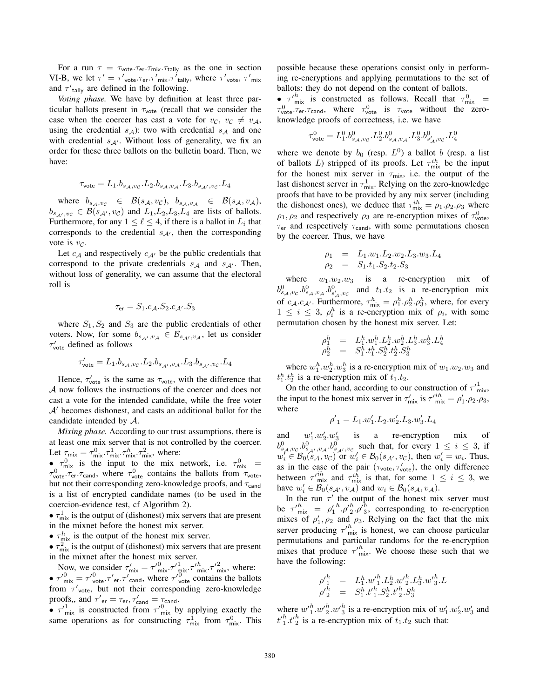For a run  $\tau = \tau_{\text{vote}}.\tau_{\text{er}}.\tau_{\text{mix}}.\tau_{\text{tally}}$  as the one in section VI-B, we let  $\tau' = \tau'_{\text{vote}}.\tau_{\text{er}}.\tau'_{\text{mix}}.\tau'_{\text{tally}}$ , where  $\tau'_{\text{vote}}$ ,  $\tau'_{\text{mix}}$ and  $\tau'_{\text{tally}}$  are defined in the following.

*Voting phase.* We have by definition at least three particular ballots present in  $\tau_{\text{vote}}$  (recall that we consider the case when the coercer has cast a vote for  $v_c$ ,  $v_c \neq v_A$ , using the credential  $s_A$ ): two with credential  $s_A$  and one with credential  $s_{A'}$ . Without loss of generality, we fix an order for these three ballots on the bulletin board. Then, we have:

$$
\tau_{\rm vote} = L_1.b_{s_{\cal A},vc}.L_2.b_{s_{\cal A},v_{\cal A}}.L_3.b_{s_{\cal A'},vc}.L_4
$$

where  $b_{s_A, v_C} \in \mathcal{B}(s_A, v_C), b_{s_A, v_A} \in \mathcal{B}(s_A, v_A),$  $b_{s_{A'},v_C} \in \mathcal{B}(s_{A'}, v_C)$  and  $L_1, L_2, L_3, L_4$  are lists of ballots. Furthermore, for any  $1 \leq \ell \leq 4$ , if there is a ballot in  $L_i$  that corresponds to the credential  $s_{A'}$ , then the corresponding vote is  $v_{\mathcal{C}}$ .

Let  $c_A$  and respectively  $c_{A'}$  be the public credentials that correspond to the private credentials  $s_A$  and  $s_{A'}$ . Then, without loss of generality, we can assume that the electoral roll is

$$
\tau_{\text{er}} = S_1.c_{\mathcal{A}}.S_2.c_{\mathcal{A}'}.S_3
$$

where  $S_1, S_2$  and  $S_3$  are the public credentials of other voters. Now, for some  $b_{s_{\mathcal{A}'},v_{\mathcal{A}}} \in \mathcal{B}_{s_{\mathcal{A}'},v_{\mathcal{A}}}$ , let us consider  $\tau_{\text{vote}}'$  defined as follows

$$
\tau'_{\rm vote} = L_1.b_{s_{\mathcal{A}},vc}.L_2.b_{s_{\mathcal{A}'},v_{\mathcal{A}}} .L_3.b_{s_{\mathcal{A}'},vc}.L_4
$$

Hence,  $\tau_{\text{vote}}'$  is the same as  $\tau_{\text{vote}}$ , with the difference that A now follows the instructions of the coercer and does not cast a vote for the intended candidate, while the free voter  $A'$  becomes dishonest, and casts an additional ballot for the candidate intended by A.

*Mixing phase.* According to our trust assumptions, there is at least one mix server that is not controlled by the coercer. Let  $\tau_{\text{mix}} = \tau_{\text{mix}}^0 \cdot \tau_{\text{mix}}^1 \cdot \tau_{\text{mix}}^h \cdot \tau_{\text{mix}}^2$ , where:

•  $\tau_{\text{mix}}^0$  is the input to the mix network, i.e.  $\tau_{\text{mix}}^0$  =  $\tau_{\text{vote}}^0$ ,  $\tau_{\text{er}}$ ,  $\tau_{\text{cand}}$ , where  $\tau_{\text{vote}}^0$  contains the ballots from  $\tau_{\text{vote}}$ , but not their corresponding zero-knowledge proofs, and  $\tau_{\text{cand}}$ is a list of encrypted candidate names (to be used in the coercion-evidence test, cf Algorithm 2).

 $\bullet$   $\tau_{\text{mix}}^1$  is the output of (dishonest) mix servers that are present in the mixnet before the honest mix server.

•  $\tau_{\text{mix}}^h$  is the output of the honest mix server.

•  $\tau_{mix}^2$  is the output of (dishonest) mix servers that are present in the mixnet after the honest mix server.

Now, we consider  $\tau'_{mix} = \tau'^0_{mix} \tau'^1_{mix} \tau'^2_{mix} \tau'^2_{mix}$ , where: •  $\tau'_{mix}^{0} = \tau'_{vote}^{0}$ ,  $\tau'_{err}$ ,  $\tau'_{cand}^{0}$ , where  $\tau'_{vote}^{0}$  contains the ballots from  $\tau'$ <sub>vote</sub>, but not their corresponding zero-knowledge proofs,, and  $\tau'_{\text{er}} = \tau_{\text{er}}, \tau'_{\text{cand}} = \tau_{\text{cand}}$ .

•  $\tau'_{mix}$  is constructed from  $\tau'^{0}_{mix}$  by applying exactly the same operations as for constructing  $\tau_{\text{mix}}^1$  from  $\tau_{\text{mix}}^0$ . This possible because these operations consist only in performing re-encryptions and applying permutations to the set of ballots: they do not depend on the content of ballots.

•  $\tau'_{mix}$  is constructed as follows. Recall that  $\tau_{mix}^{0}$  =  $\tau_{\text{vote}}^0$ ,  $\tau_{\text{cand}}$ , where  $\tau_{\text{vote}}^0$  is  $\tau_{\text{vote}}$  without the zeroknowledge proofs of correctness, i.e. we have

$$
\tau_{\text{vote}}^0 = L^0_1.b_{s_A,v_C}^0.L^0_2.b_{s_A,v_A}^0.L^0_3.b_{s_A',v_C}^0.L^0_4
$$

where we denote by  $b_0$  (resp.  $L^0$ ) a ballot b (resp. a list of ballots L) stripped of its proofs. Let  $\tau_{\text{mix}}^{ih}$  be the input for the honest mix server in  $\tau_{mix}$ , i.e. the output of the last dishonest server in  $\tau_{mix}^1$ . Relying on the zero-knowledge proofs that have to be provided by any mix server (including the dishonest ones), we deduce that  $\tau_{mix}^{ih} = \rho_1 \cdot \rho_2 \cdot \rho_3$  where  $\rho_1, \rho_2$  and respectively  $\rho_3$  are re-encryption mixes of  $\tau_{\text{vote}}^0$ ,  $\tau_{\text{er}}$  and respectively  $\tau_{\text{cand}}$ , with some permutations chosen by the coercer. Thus, we have

$$
\rho_1 = L_1.w_1.L_2.w_2.L_3.w_3.L_4
$$
  

$$
\rho_2 = S_1.t_1.S_2.t_2.S_3
$$

where  $w_1.w_2.w_3$  is a re-encryption mix of  $b_{s_A, v_C}^0$ ,  $b_{s_A, v_A}^0$ ,  $b_{s_A, v_C}^0$  and  $t_1.t_2$  is a re-encryption mix of  $c_A$ . Eq. - Furthermore,  $\tau_{mix}^h = \rho_1^h \cdot \rho_2^h \cdot \rho_3^h$ , where, for every  $1 \leq i \leq 3$ ,  $\rho_i^h$  is a re-encryption mix of  $\rho_i$ , with some permutation chosen by the honest mix server. Let:

$$
\begin{array}{lll} \rho_1^h & = & L_1^h.w_1^h.L_2^h.w_2^h.L_3^h.w_3^h.L_4^h \\ \rho_2^h & = & S_1^h.t_1^h.S_2^h.t_2^h.S_3^h \end{array}
$$

where  $w_1^h \cdot w_2^h \cdot w_3^h$  is a re-encryption mix of  $w_1 \cdot w_2 \cdot w_3$  and  $t_1^h \cdot t_2^h$  is a re-encryption mix of  $t_1 \cdot t_2$ .

On the other hand, according to our construction of  $\tau'_{mix}$ , the input to the honest mix server in  $\tau'_{mix}$  is  $\tau'^{ih}_{mix} = \rho'_1 \cdot \rho_2 \cdot \rho_3$ , where

$$
\rho'_1 = L_1.w'_1.L_2.w'_2.L_3.w'_3.L_4
$$

and  $w'_1 \cdot w'_2 \cdot w'_3$  is a re-encryption mix of  $b^0_{s_A,v_C}$ ,  $b^0_{s_{A'},v_A}$ ,  $b^0_{s_{A'},v_C}$  such that, for every  $1 \leq i \leq 3$ , if  $w'_i \in \mathcal{B}_0(s_{\mathcal{A}}, v_{\mathcal{C}})$  or  $w'_i \in \mathcal{B}_0(s_{\mathcal{A}'}, v_{\mathcal{C}})$ , then  $w'_i = w_i$ . Thus, as in the case of the pair  $(\tau_{\text{vote}}, \tau_{\text{vote}}')$ , the only difference between  $\tau'^{ih}_{mix}$  and  $\tau^{ih}_{mix}$  is that, for some  $1 \leq i \leq 3$ , we have  $w'_i \in \mathcal{B}_0(s_{\mathcal{A}'}, v_{\mathcal{A}})$  and  $w_i \in \mathcal{B}_0(s_{\mathcal{A}}, v_{\mathcal{A}})$ .

In the run  $\tau'$  the output of the honest mix server must be  $\tau'^h_{\text{mix}} = \rho'_1$  $h^{h}$ . $\rho'^{h}_{2}$ ,  $\rho'^{h}_{3}$ , corresponding to re-encryption mixes of  $\rho'_1$ ,  $\rho_2$  and  $\rho_3$ . Relying on the fact that the mix server producing  $\tau'^h_{mix}$  is honest, we can choose particular permutations and particular randoms for the re-encryption mixes that produce  $\tau'_{mix}^h$ . We choose these such that we have the following:

$$
\begin{array}{lll} {\rho'}_1^h & = & L_1^h.w'^h_1.L_2^h.w'^h_2.L_3^h.w'^h_3.L \\ {\rho'}_2^h & = & S_1^h.t'^h_1.S_2^h.t'^h_2.S_3^h \end{array}
$$

where  $w_1^h w_2^h w_3^h$  is a re-encryption mix of  $w_1^{\prime} w_2^{\prime} w_3^{\prime}$  and  $t_1^h$ . $t_2^h$  is a re-encryption mix of  $t_1$ . $t_2$  such that: